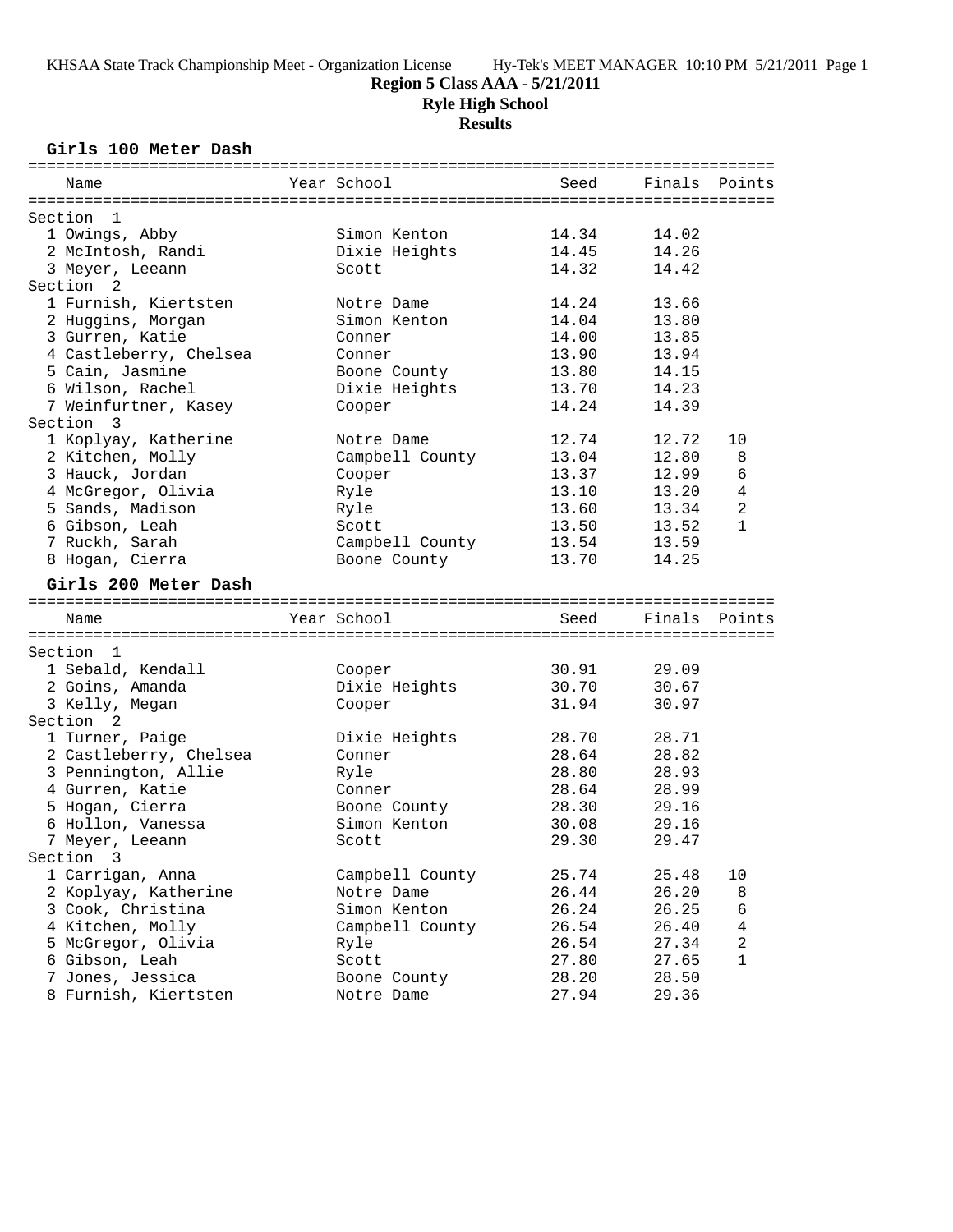# **Region 5 Class AAA - 5/21/2011**

**Ryle High School**

## **Results**

### **Girls 100 Meter Dash**

| Name                                   | Year School     | Seed  | Finals | Points       |
|----------------------------------------|-----------------|-------|--------|--------------|
| Section<br>- 1                         |                 |       |        |              |
| 1 Owings, Abby                         | Simon Kenton    | 14.34 | 14.02  |              |
| 2 McIntosh, Randi                      | Dixie Heights   | 14.45 | 14.26  |              |
| 3 Meyer, Leeann                        | Scott           | 14.32 | 14.42  |              |
| Section 2                              |                 |       |        |              |
| 1 Furnish, Kiertsten                   | Notre Dame      | 14.24 | 13.66  |              |
| 2 Huggins, Morgan                      | Simon Kenton    | 14.04 | 13.80  |              |
| 3 Gurren, Katie                        | Conner          | 14.00 | 13.85  |              |
| 4 Castleberry, Chelsea                 | Conner          | 13.90 | 13.94  |              |
|                                        |                 | 13.80 | 14.15  |              |
| 5 Cain, Jasmine                        | Boone County    | 13.70 | 14.23  |              |
| 6 Wilson, Rachel                       | Dixie Heights   |       |        |              |
| 7 Weinfurtner, Kasey                   | Cooper          | 14.24 | 14.39  |              |
| Section 3                              |                 |       |        |              |
| 1 Koplyay, Katherine                   | Notre Dame      | 12.74 | 12.72  | 10           |
| 2 Kitchen, Molly                       | Campbell County | 13.04 | 12.80  | 8            |
| 3 Hauck, Jordan                        | Cooper          | 13.37 | 12.99  | 6            |
| 4 McGregor, Olivia                     | Ryle            | 13.10 | 13.20  | 4            |
| 5 Sands, Madison                       | Ryle            | 13.60 | 13.34  | 2            |
| 6 Gibson, Leah                         | Scott           | 13.50 | 13.52  | 1            |
| 7 Ruckh, Sarah                         | Campbell County | 13.54 | 13.59  |              |
| 8 Hogan, Cierra                        | Boone County    | 13.70 | 14.25  |              |
| Girls 200 Meter Dash                   |                 |       |        |              |
|                                        |                 |       |        |              |
| Name                                   | Year School     | Seed  | Finals | Points       |
| Section 1                              |                 |       |        |              |
| 1 Sebald, Kendall                      | Cooper          | 30.91 | 29.09  |              |
| 2 Goins, Amanda                        | Dixie Heights   | 30.70 | 30.67  |              |
|                                        |                 |       |        |              |
| 3 Kelly, Megan<br>Section <sub>2</sub> | Cooper          | 31.94 | 30.97  |              |
| 1 Turner, Paige                        | Dixie Heights   | 28.70 | 28.71  |              |
| 2 Castleberry, Chelsea                 | Conner          | 28.64 | 28.82  |              |
| 3 Pennington, Allie                    | Ryle            | 28.80 | 28.93  |              |
| 4 Gurren, Katie                        | Conner          | 28.64 | 28.99  |              |
| 5 Hogan, Cierra                        | Boone County    | 28.30 | 29.16  |              |
| 6 Hollon, Vanessa                      | Simon Kenton    | 30.08 | 29.16  |              |
| 7 Meyer, Leeann                        | Scott           | 29.30 | 29.47  |              |
| Section 3                              |                 |       |        |              |
| 1 Carrigan, Anna                       | Campbell County | 25.74 | 25.48  | 10           |
|                                        |                 |       | 26.20  |              |
| 2 Koplyay, Katherine                   | Notre Dame      | 26.44 |        | 8            |
| 3 Cook, Christina                      | Simon Kenton    | 26.24 | 26.25  | 6            |
| 4 Kitchen, Molly                       | Campbell County | 26.54 | 26.40  | 4            |
| 5 McGregor, Olivia                     | Ryle            | 26.54 | 27.34  | 2            |
| 6 Gibson, Leah                         | Scott           | 27.80 | 27.65  | $\mathbf{1}$ |
| 7 Jones, Jessica                       | Boone County    | 28.20 | 28.50  |              |
| 8 Furnish, Kiertsten                   | Notre Dame      | 27.94 | 29.36  |              |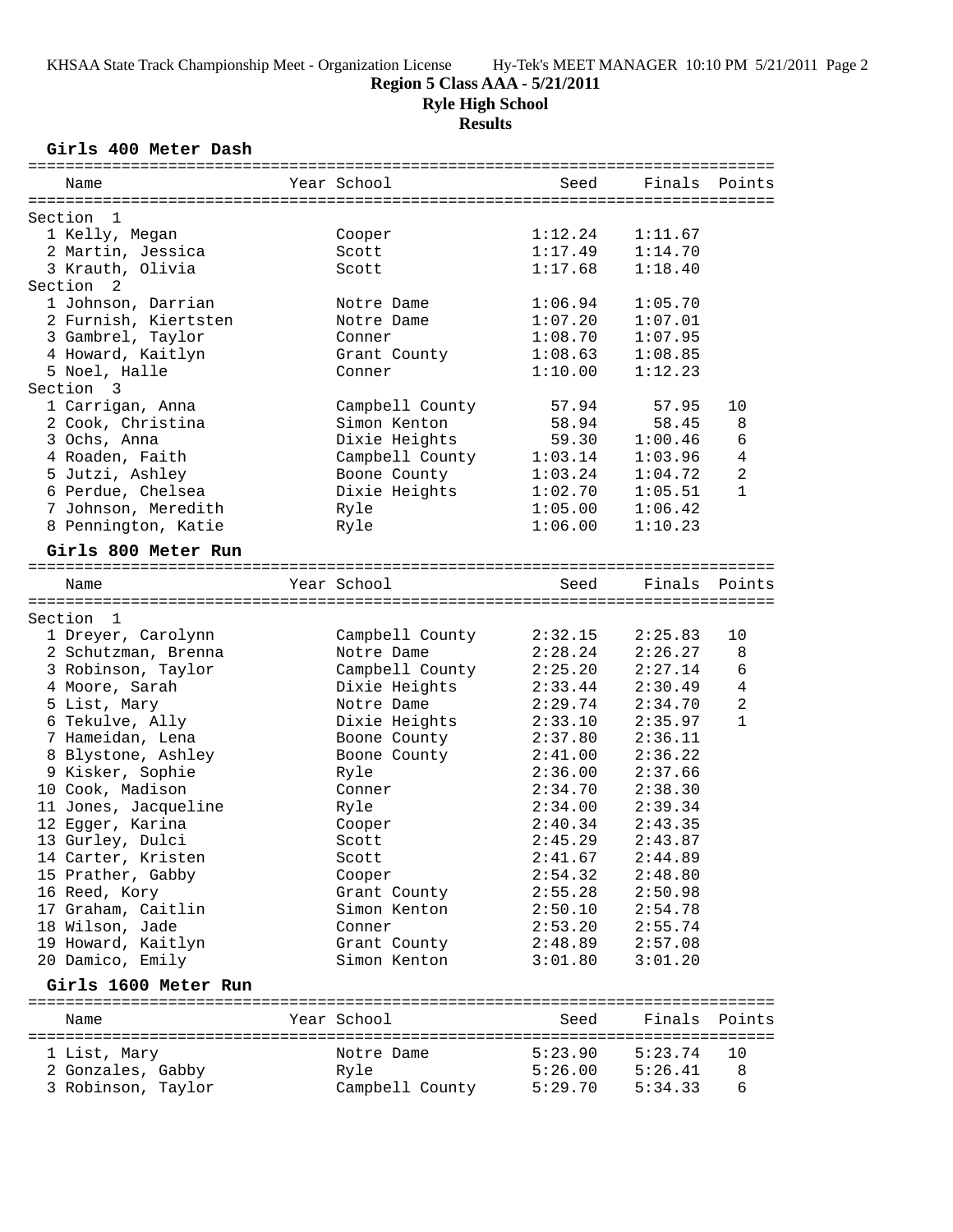**Region 5 Class AAA - 5/21/2011**

**Ryle High School**

**Results**

### **Girls 400 Meter Dash**

|         | Name                            | Year School                     | Seed               | Finals Points      |                |
|---------|---------------------------------|---------------------------------|--------------------|--------------------|----------------|
|         |                                 |                                 |                    |                    |                |
| Section | 1                               |                                 |                    |                    |                |
|         | 1 Kelly, Megan                  | Cooper                          | 1:12.24            | 1:11.67            |                |
|         | 2 Martin, Jessica               | Scott                           | 1:17.49            | 1:14.70            |                |
|         | 3 Krauth, Olivia                | Scott                           | 1:17.68            | 1:18.40            |                |
|         | Section <sub>2</sub>            |                                 |                    |                    |                |
|         | 1 Johnson, Darrian              | Notre Dame                      | 1:06.94            | 1:05.70            |                |
|         | 2 Furnish, Kiertsten            | Notre Dame                      | 1:07.20            | 1:07.01            |                |
|         | 3 Gambrel, Taylor               | Conner                          | 1:08.70            | 1:07.95            |                |
|         | 4 Howard, Kaitlyn               | Grant County                    | 1:08.63            | 1:08.85            |                |
|         | 5 Noel, Halle                   | Conner                          | 1:10.00            | 1:12.23            |                |
|         | Section 3                       |                                 |                    |                    |                |
|         | 1 Carrigan, Anna                | Campbell County                 | 57.94              | 57.95              | 10             |
|         | 2 Cook, Christina               | Simon Kenton                    | 58.94              | 58.45              | 8<br>6         |
|         | 3 Ochs, Anna<br>4 Roaden, Faith | Dixie Heights                   | 59.30              | 1:00.46            | 4              |
|         | 5 Jutzi, Ashley                 | Campbell County<br>Boone County | 1:03.14<br>1:03.24 | 1:03.96<br>1:04.72 | 2              |
|         | 6 Perdue, Chelsea               | Dixie Heights                   | 1:02.70            | 1:05.51            | $\mathbf{1}$   |
|         | 7 Johnson, Meredith             | Ryle                            | 1:05.00            | 1:06.42            |                |
|         | 8 Pennington, Katie             | Ryle                            | 1:06.00            | 1:10.23            |                |
|         |                                 |                                 |                    |                    |                |
|         | Girls 800 Meter Run             |                                 |                    |                    |                |
|         | Name                            | Year School                     | Seed               | Finals             | Points         |
|         |                                 |                                 |                    |                    |                |
| Section | $\mathbf{1}$                    |                                 |                    |                    |                |
|         | 1 Dreyer, Carolynn              | Campbell County                 | 2:32.15            | 2:25.83            | 10             |
|         | 2 Schutzman, Brenna             | Notre Dame                      | 2:28.24            | 2:26.27            | 8              |
|         | 3 Robinson, Taylor              | Campbell County                 | 2:25.20            | 2:27.14            | 6              |
|         | 4 Moore, Sarah                  | Dixie Heights                   | 2:33.44            | 2:30.49            | $\overline{4}$ |
|         | 5 List, Mary                    | Notre Dame                      | 2:29.74            | 2:34.70            | $\overline{a}$ |
|         | 6 Tekulve, Ally                 | Dixie Heights                   | 2:33.10            | 2:35.97            | $\mathbf{1}$   |
|         | 7 Hameidan, Lena                | Boone County                    | 2:37.80            | 2:36.11            |                |
|         | 8 Blystone, Ashley              | Boone County                    | 2:41.00            | 2:36.22            |                |
|         | 9 Kisker, Sophie                | Ryle                            | 2:36.00            | 2:37.66            |                |
|         | 10 Cook, Madison                | Conner                          | 2:34.70            | 2:38.30            |                |
|         | 11 Jones, Jacqueline            | Ryle                            | 2:34.00            | 2:39.34            |                |
|         | 12 Egger, Karina                | Cooper                          | 2:40.34            | 2:43.35            |                |
|         | 13 Gurley, Dulci                | Scott                           | 2:45.29            | 2:43.87            |                |
|         | 14 Carter, Kristen              | Scott                           | 2:41.67            | 2:44.89            |                |
|         | 15 Prather, Gabby               | Cooper                          | 2:54.32            | 2:48.80            |                |
|         | 16 Reed, Kory                   | Grant County                    | 2:55.28            | 2:50.98            |                |
|         | 17 Graham, Caitlin              | Simon Kenton                    | 2:50.10            | 2:54.78            |                |
|         | 18 Wilson, Jade                 | Conner                          | 2:53.20            | 2:55.74            |                |
|         | 19 Howard, Kaitlyn              | Grant County                    | 2:48.89            | 2:57.08            |                |
|         | 20 Damico, Emily                | Simon Kenton                    | 3:01.80            | 3:01.20            |                |
|         | Girls 1600 Meter Run            |                                 |                    |                    |                |
|         | Name                            | Year School                     | Seed               | Finals             | Points         |
|         |                                 |                                 |                    |                    |                |
|         | 1 List, Mary                    | Notre Dame                      | 5:23.90            | 5:23.74            | 10             |
|         | 2 Gonzales, Gabby               | Ryle                            | 5:26.00            | 5:26.41            | 8              |
|         | 3 Robinson, Taylor              | Campbell County                 | 5:29.70            | 5:34.33            | 6              |
|         |                                 |                                 |                    |                    |                |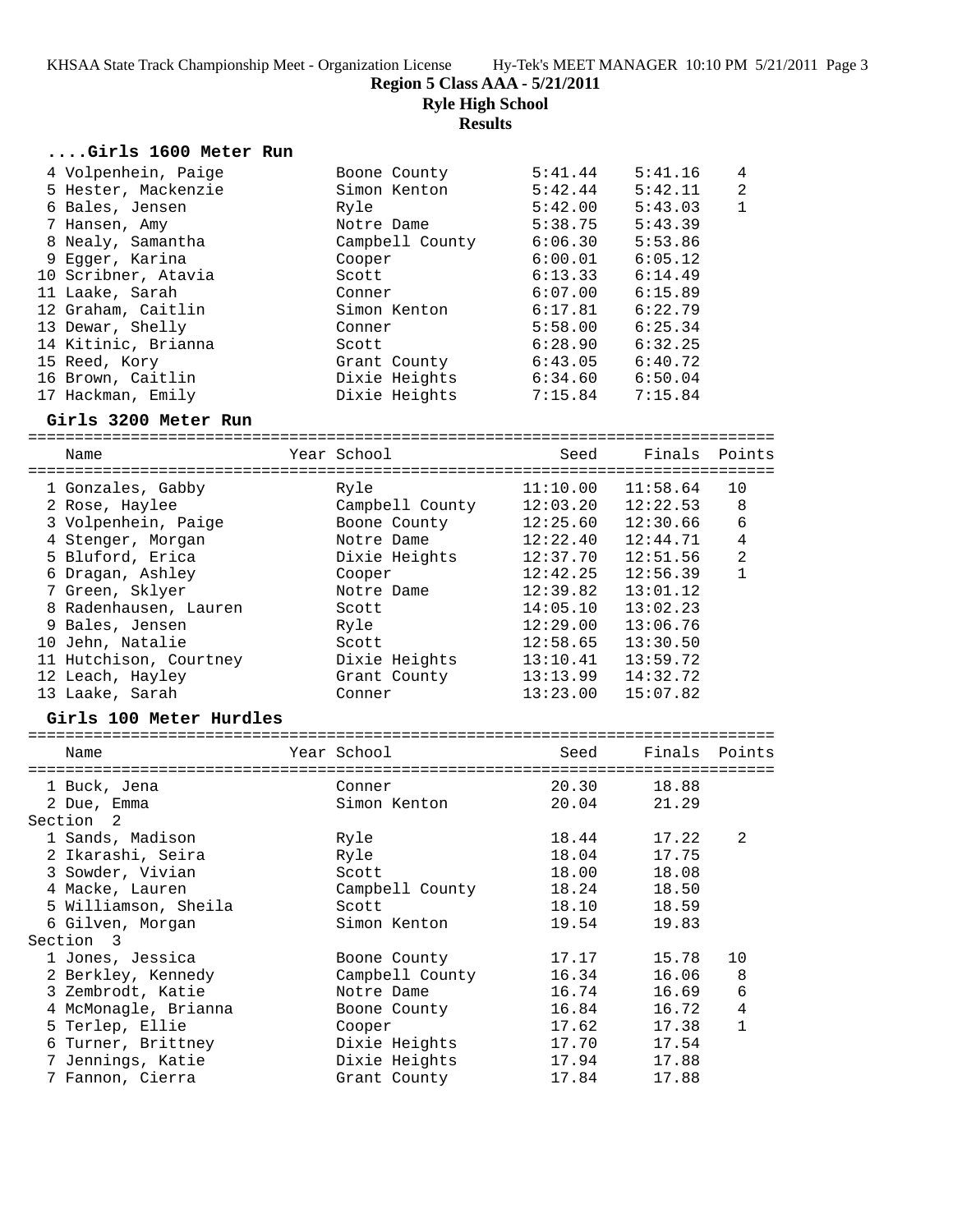**Region 5 Class AAA - 5/21/2011**

**Ryle High School**

**Results**

| Girls 1600 Meter Run    |                 |          |          |                |
|-------------------------|-----------------|----------|----------|----------------|
| 4 Volpenhein, Paige     | Boone County    | 5:41.44  | 5:41.16  | 4              |
| 5 Hester, Mackenzie     | Simon Kenton    | 5:42.44  | 5:42.11  | 2              |
| 6 Bales, Jensen         | Ryle            | 5:42.00  | 5:43.03  | $\mathbf{1}$   |
| 7 Hansen, Amy           | Notre Dame      | 5:38.75  | 5:43.39  |                |
| 8 Nealy, Samantha       | Campbell County | 6:06.30  | 5:53.86  |                |
| 9 Egger, Karina         | Cooper          | 6:00.01  | 6:05.12  |                |
| 10 Scribner, Atavia     | Scott           | 6:13.33  | 6:14.49  |                |
| 11 Laake, Sarah         | Conner          | 6:07.00  | 6:15.89  |                |
| 12 Graham, Caitlin      | Simon Kenton    | 6:17.81  | 6:22.79  |                |
| 13 Dewar, Shelly        | Conner          | 5:58.00  | 6:25.34  |                |
| 14 Kitinic, Brianna     | Scott           | 6:28.90  | 6:32.25  |                |
| 15 Reed, Kory           | Grant County    | 6:43.05  | 6:40.72  |                |
| 16 Brown, Caitlin       | Dixie Heights   | 6:34.60  | 6:50.04  |                |
| 17 Hackman, Emily       | Dixie Heights   | 7:15.84  | 7:15.84  |                |
| Girls 3200 Meter Run    |                 |          |          |                |
|                         |                 |          |          |                |
| Name                    | Year School     | Seed     | Finals   | Points         |
| 1 Gonzales, Gabby       | Ryle            | 11:10.00 | 11:58.64 | 10             |
| 2 Rose, Haylee          | Campbell County | 12:03.20 | 12:22.53 | 8              |
| 3 Volpenhein, Paige     | Boone County    | 12:25.60 | 12:30.66 | 6              |
| 4 Stenger, Morgan       | Notre Dame      | 12:22.40 | 12:44.71 | 4              |
| 5 Bluford, Erica        | Dixie Heights   | 12:37.70 | 12:51.56 | $\overline{a}$ |
| 6 Dragan, Ashley        | Cooper          | 12:42.25 | 12:56.39 | $\mathbf{1}$   |
| 7 Green, Sklyer         | Notre Dame      | 12:39.82 | 13:01.12 |                |
| 8 Radenhausen, Lauren   | Scott           | 14:05.10 | 13:02.23 |                |
| 9 Bales, Jensen         | Ryle            | 12:29.00 | 13:06.76 |                |
| 10 Jehn, Natalie        | Scott           | 12:58.65 | 13:30.50 |                |
| 11 Hutchison, Courtney  | Dixie Heights   | 13:10.41 | 13:59.72 |                |
| 12 Leach, Hayley        | Grant County    | 13:13.99 | 14:32.72 |                |
| 13 Laake, Sarah         | Conner          | 13:23.00 | 15:07.82 |                |
| Girls 100 Meter Hurdles |                 |          |          |                |
|                         |                 |          |          |                |
| Name                    | Year School     | Seed     | Finals   | Points         |
| 1 Buck, Jena            | Conner          | 20.30    | 18.88    |                |
| 2 Due, Emma             | Simon Kenton    | 20.04    | 21.29    |                |
| Section<br>2            |                 |          |          |                |
| 1 Sands, Madison        | Ryle            | 18.44    | 17.22    | 2              |
| 2 Ikarashi, Seira       | Ryle            | 18.04    | 17.75    |                |
| 3 Sowder, Vivian        | Scott           | 18.00    | 18.08    |                |
| 4 Macke, Lauren         | Campbell County | 18.24    | 18.50    |                |
| 5 Williamson, Sheila    | Scott           | 18.10    | 18.59    |                |
| 6 Gilven, Morgan        | Simon Kenton    | 19.54    | 19.83    |                |
| Section 3               |                 |          |          |                |
| 1 Jones, Jessica        | Boone County    | 17.17    | 15.78    | 10             |
| 2 Berkley, Kennedy      | Campbell County | 16.34    | 16.06    | 8              |
| 3 Zembrodt, Katie       | Notre Dame      | 16.74    | 16.69    | 6              |
| 4 McMonagle, Brianna    | Boone County    | 16.84    | 16.72    | $\overline{4}$ |
| 5 Terlep, Ellie         | Cooper          | 17.62    | 17.38    | $\mathbf{1}$   |
| 6 Turner, Brittney      | Dixie Heights   | 17.70    | 17.54    |                |
| 7 Jennings, Katie       |                 | 17.94    |          |                |
|                         | Dixie Heights   |          | 17.88    |                |
| 7 Fannon, Cierra        | Grant County    | 17.84    | 17.88    |                |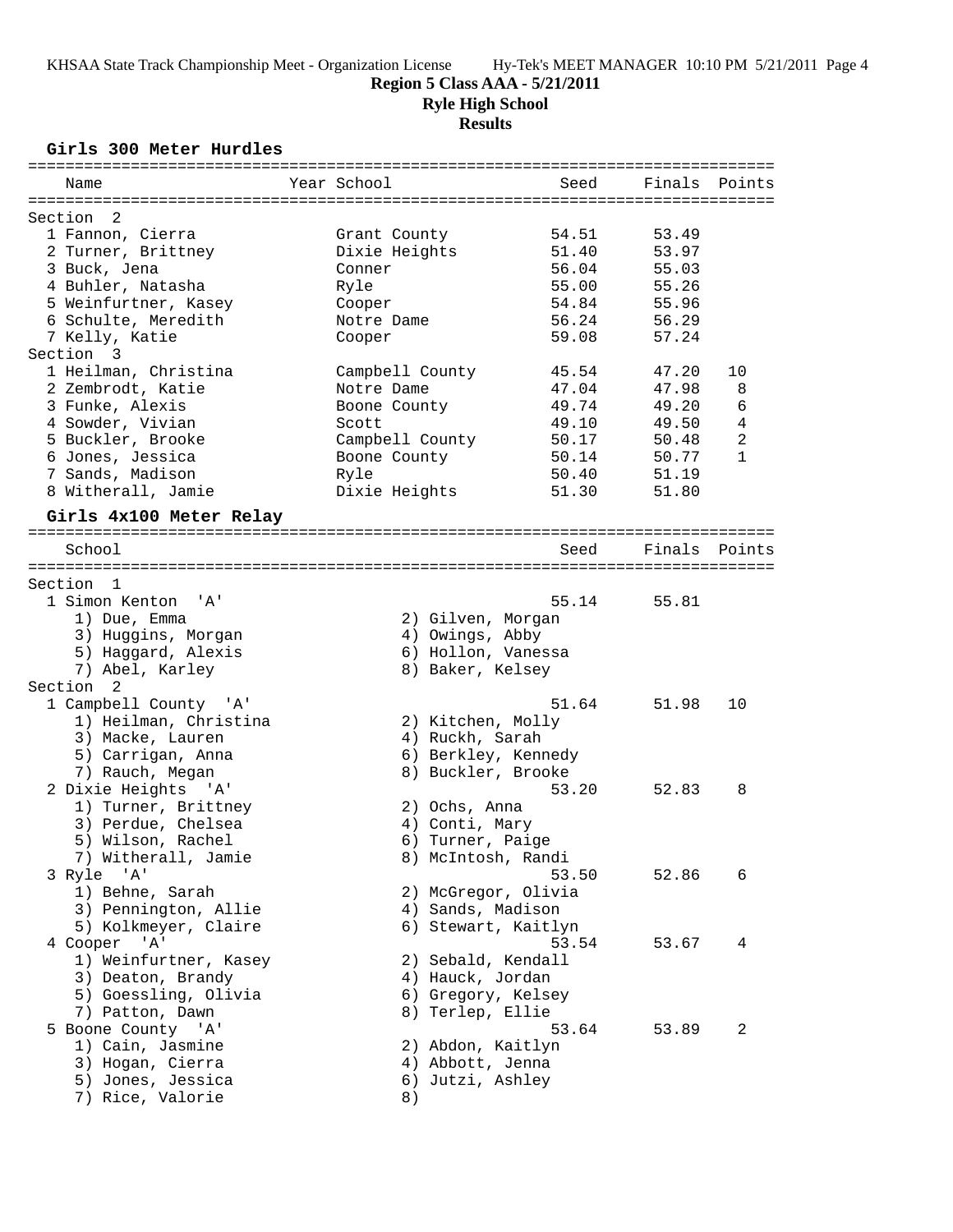# **Region 5 Class AAA - 5/21/2011**

**Ryle High School**

#### **Results**

## **Girls 300 Meter Hurdles**

| Name                      | Year School         | Seed  | Finals Points |                |
|---------------------------|---------------------|-------|---------------|----------------|
|                           |                     |       |               |                |
| Section<br>2              |                     |       |               |                |
| 1 Fannon, Cierra          | Grant County        | 54.51 | 53.49         |                |
| 2 Turner, Brittney        | Dixie Heights       | 51.40 | 53.97         |                |
| 3 Buck, Jena              | Conner              | 56.04 | 55.03         |                |
| 4 Buhler, Natasha         | Ryle                | 55.00 | 55.26         |                |
| 5 Weinfurtner, Kasey      | Cooper              | 54.84 | 55.96         |                |
| 6 Schulte, Meredith       | Notre Dame          | 56.24 | 56.29         |                |
| 7 Kelly, Katie            | Cooper              | 59.08 | 57.24         |                |
| Section 3                 |                     |       |               |                |
| 1 Heilman, Christina      | Campbell County     | 45.54 | 47.20         | 10             |
| 2 Zembrodt, Katie         | Notre Dame          | 47.04 | 47.98         | 8              |
| 3 Funke, Alexis           | Boone County        | 49.74 | 49.20         | 6              |
| 4 Sowder, Vivian          | Scott               | 49.10 | 49.50         | 4              |
| 5 Buckler, Brooke         | Campbell County     | 50.17 | 50.48         | $\overline{2}$ |
| 6 Jones, Jessica          | Boone County        | 50.14 | 50.77         | $\mathbf{1}$   |
| 7 Sands, Madison          | Ryle                | 50.40 | 51.19         |                |
| 8 Witherall, Jamie        | Dixie Heights       | 51.30 | 51.80         |                |
|                           |                     |       |               |                |
| Girls 4x100 Meter Relay   |                     |       |               |                |
|                           |                     |       |               |                |
| School                    |                     | Seed  | Finals        | Points         |
|                           |                     |       |               |                |
| Section 1                 |                     |       |               |                |
| 1 Simon Kenton<br>'' A '  |                     | 55.14 | 55.81         |                |
| 1) Due, Emma              | 2) Gilven, Morgan   |       |               |                |
| 3) Huggins, Morgan        | 4) Owings, Abby     |       |               |                |
| 5) Haggard, Alexis        | 6) Hollon, Vanessa  |       |               |                |
| 7) Abel, Karley           | 8) Baker, Kelsey    |       |               |                |
| Section<br>$\overline{2}$ |                     |       |               |                |
| 1 Campbell County 'A'     |                     | 51.64 | 51.98         | 10             |
| 1) Heilman, Christina     | 2) Kitchen, Molly   |       |               |                |
| 3) Macke, Lauren          | 4) Ruckh, Sarah     |       |               |                |
| 5) Carrigan, Anna         | 6) Berkley, Kennedy |       |               |                |
| 7) Rauch, Megan           | 8) Buckler, Brooke  |       |               |                |
| 2 Dixie Heights 'A'       |                     | 53.20 | 52.83         | 8              |
| 1) Turner, Brittney       | 2) Ochs, Anna       |       |               |                |
| 3) Perdue, Chelsea        | 4) Conti, Mary      |       |               |                |
| 5) Wilson, Rachel         | 6) Turner, Paige    |       |               |                |
| 7) Witherall, Jamie       | 8) McIntosh, Randi  |       |               |                |
| 3 Ryle 'A'                |                     | 53.50 | 52.86         | 6              |
| 1) Behne, Sarah           | 2) McGregor, Olivia |       |               |                |
| 3) Pennington, Allie      | 4) Sands, Madison   |       |               |                |
| 5) Kolkmeyer, Claire      | 6) Stewart, Kaitlyn |       |               |                |
| 4 Cooper 'A'              |                     | 53.54 | 53.67         | 4              |
| 1) Weinfurtner, Kasey     | 2) Sebald, Kendall  |       |               |                |
| 3) Deaton, Brandy         | 4) Hauck, Jordan    |       |               |                |
| 5) Goessling, Olivia      | 6) Gregory, Kelsey  |       |               |                |
| 7) Patton, Dawn           | 8) Terlep, Ellie    |       |               |                |
| 5 Boone County 'A'        |                     | 53.64 | 53.89         | 2              |
| 1) Cain, Jasmine          | 2) Abdon, Kaitlyn   |       |               |                |
| 3) Hogan, Cierra          | 4) Abbott, Jenna    |       |               |                |
| 5) Jones, Jessica         | 6) Jutzi, Ashley    |       |               |                |
| 7) Rice, Valorie          | 8)                  |       |               |                |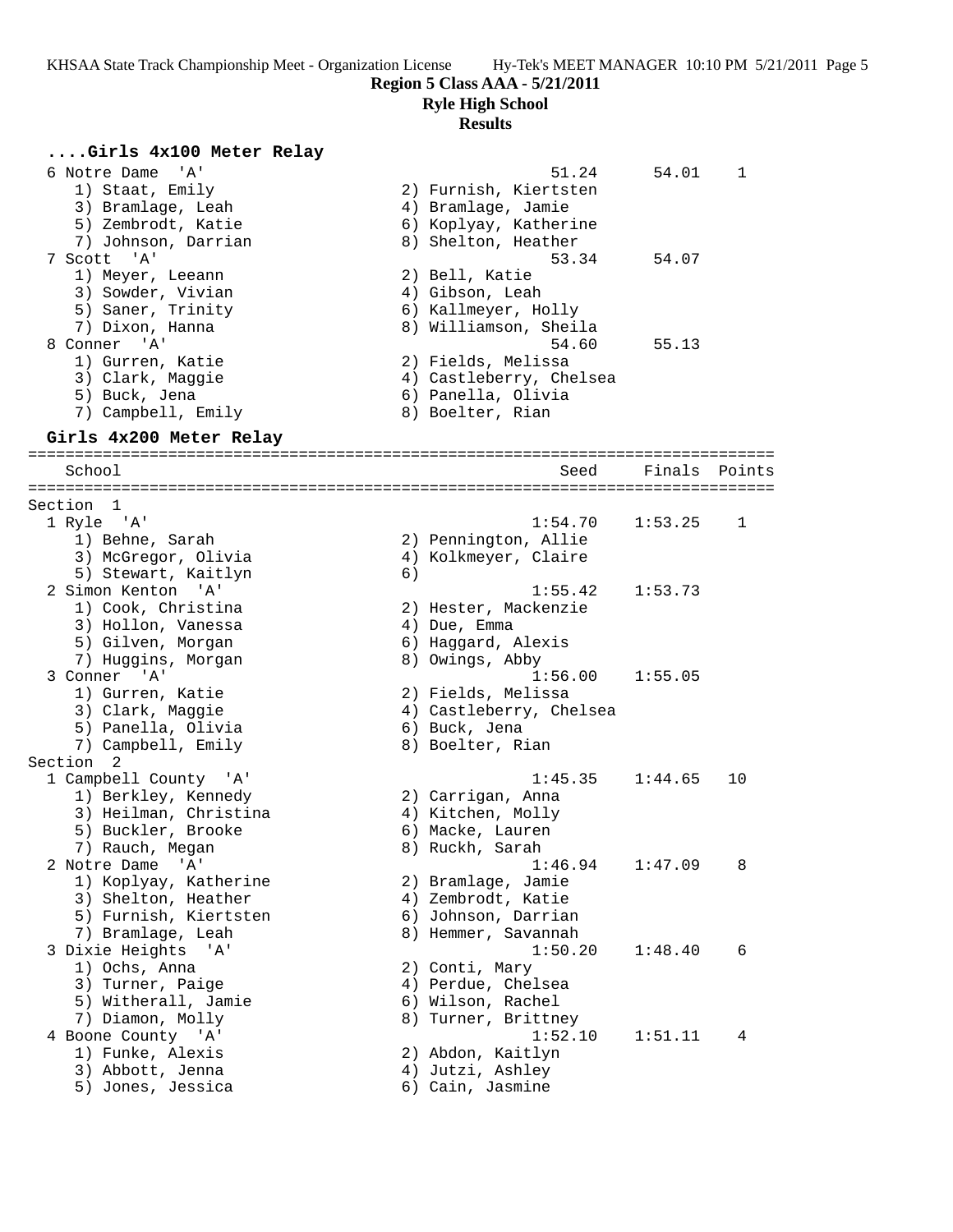**Region 5 Class AAA - 5/21/2011**

**Ryle High School**

# **Results**

| Girls 4x100 Meter Relay |                          |
|-------------------------|--------------------------|
| 6 Notre Dame<br>' A '   | 51.24<br>54.01<br>1      |
| 1) Staat, Emily         | 2) Furnish, Kiertsten    |
| 3) Bramlage, Leah       | 4) Bramlage, Jamie       |
| 5) Zembrodt, Katie      | 6) Koplyay, Katherine    |
| 7) Johnson, Darrian     | 8) Shelton, Heather      |
| 7 Scott 'A'             | 53.34<br>54.07           |
| 1) Meyer, Leeann        | 2) Bell, Katie           |
| 3) Sowder, Vivian       | 4) Gibson, Leah          |
| 5) Saner, Trinity       | 6) Kallmeyer, Holly      |
| 7) Dixon, Hanna         | 8) Williamson, Sheila    |
| 8 Conner 'A'            | 54.60<br>55.13           |
| 1) Gurren, Katie        | 2) Fields, Melissa       |
| 3) Clark, Maggie        | 4) Castleberry, Chelsea  |
| 5) Buck, Jena           | 6) Panella, Olivia       |
| 7) Campbell, Emily      | 8) Boelter, Rian         |
| Girls 4x200 Meter Relay |                          |
|                         |                          |
| School                  | Finals<br>Seed<br>Points |
|                         |                          |
| Section 1               |                          |
| 1 Ryle 'A'              | 1:54.70<br>1:53.25<br>1  |
| 1) Behne, Sarah         | 2) Pennington, Allie     |
| 3) McGregor, Olivia     | 4) Kolkmeyer, Claire     |
| 5) Stewart, Kaitlyn     | 6)                       |
| 2 Simon Kenton 'A'      | 1:55.42<br>1:53.73       |
| 1) Cook, Christina      | 2) Hester, Mackenzie     |
| 3) Hollon, Vanessa      | 4) Due, Emma             |
| 5) Gilven, Morgan       | 6) Haggard, Alexis       |
| 7) Huggins, Morgan      | 8) Owings, Abby          |
| 3 Conner 'A'            | 1:56.00<br>1:55.05       |
| 1) Gurren, Katie        | 2) Fields, Melissa       |
| 3) Clark, Maggie        | 4) Castleberry, Chelsea  |
| 5) Panella, Olivia      | 6) Buck, Jena            |
| 7) Campbell, Emily      | 8) Boelter, Rian         |
| Section 2               |                          |
| 1 Campbell County 'A'   | 1:45.35<br>1:44.65<br>10 |
| 1) Berkley, Kennedy     | 2) Carrigan, Anna        |
| 3) Heilman, Christina   | 4) Kitchen, Molly        |
| 5) Buckler, Brooke      | 6) Macke, Lauren         |
| 7) Rauch, Megan         | 8) Ruckh, Sarah          |
| 2 Notre Dame 'A'        | 1:46.94<br>1:47.09<br>8  |
| 1) Koplyay, Katherine   | 2) Bramlage, Jamie       |
| 3) Shelton, Heather     | 4) Zembrodt, Katie       |
| 5) Furnish, Kiertsten   | 6) Johnson, Darrian      |
| 7) Bramlage, Leah       | 8) Hemmer, Savannah      |
| 3 Dixie Heights 'A'     | 1:50.20<br>1:48.40<br>6  |
| 1) Ochs, Anna           | 2) Conti, Mary           |
| 3) Turner, Paige        | 4) Perdue, Chelsea       |
| 5) Witherall, Jamie     | 6) Wilson, Rachel        |
| 7) Diamon, Molly        | 8) Turner, Brittney      |
| 4 Boone County 'A'      | 1:52.10<br>1:51.11<br>4  |
| 1) Funke, Alexis        | 2) Abdon, Kaitlyn        |
| 3) Abbott, Jenna        | 4) Jutzi, Ashley         |
|                         |                          |

5) Jones, Jessica 6) Cain, Jasmine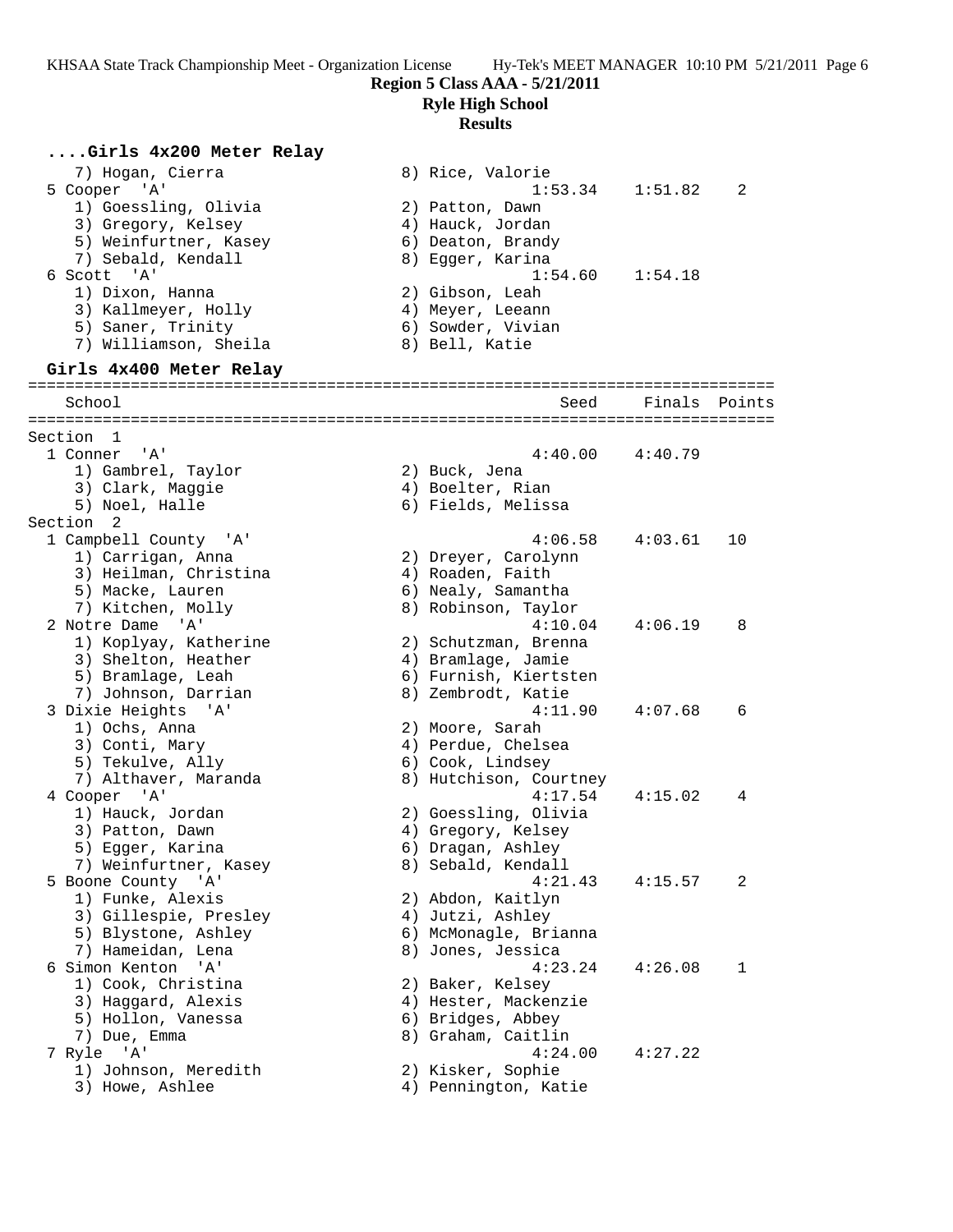# **Ryle High School**

### **Results**

2) Dreyer, Carolynn 4) Roaden, Faith 6) Nealy, Samantha 8) Robinson, Taylor

2) Schutzman, Brenna 4) Bramlage, Jamie 6) Furnish, Kiertsten 8) Zembrodt, Katie

2) Moore, Sarah 4) Perdue, Chelsea 6) Cook, Lindsey 8) Hutchison, Courtney

2) Goessling, Olivia 4) Gregory, Kelsey 6) Dragan, Ashley 8) Sebald, Kendall

2) Baker, Kelsey 4) Hester, Mackenzie 6) Bridges, Abbey 8) Graham, Caitlin

6) McMonagle, Brianna 8) Jones, Jessica

## **....Girls 4x200 Meter Relay**

 7) Hogan, Cierra 8) Rice, Valorie 5 Cooper 'A' 1:53.34 1:51.82 2 1) Goessling, Olivia 2) Patton, Dawn 3) Gregory, Kelsey 4) Hauck, Jordan 5) Weinfurtner, Kasey (6) Deaton, Brandy 7) Sebald, Kendall 8) Egger, Karina 6 Scott 'A' 1:54.60 1:54.18 1) Dixon, Hanna 2) Gibson, Leah 3) Kallmeyer, Holly (4) Meyer, Leeann 5) Saner, Trinity 6) Sowder, Vivian 7) Williamson, Sheila 8) Bell, Katie **Girls 4x400 Meter Relay** ================================================================================ School Seed Finals Points ================================================================================ Section 1

| 1 Conner 'A'          | 4:40.               |
|-----------------------|---------------------|
| 1) Gambrel, Taylor    | 2) Buck, Jena       |
| 3) Clark, Maggie      | 4) Boelter, Rian    |
| 5) Noel, Halle        | 6) Fields, Melissa  |
| Section <sub>2</sub>  |                     |
| 1 Campbell County 'A' | 4:06.               |
| 1) Carrigan, Anna     | 2) Dreyer, Carolynr |
| 3) Heilman, Christina | 4) Roaden, Faith    |
| 5) Macke, Lauren      | 6) Nealy, Samantha  |
| 7) Kitchen, Molly     | 8) Robinson, Taylor |
| 2 Notre Dame 'A'      | 4:10.               |
| 1) Koplyay, Katherine | 2) Schutzman, Brenr |
| 3) Shelton, Heather   | 4) Bramlage, Jamie  |
| 5) Bramlage, Leah     | 6) Furnish, Kiertst |
| 7) Johnson, Darrian   | 8) Zembrodt, Katie  |
| 3 Dixie Heights 'A'   | 4:11.               |
| 1) Ochs, Anna         | 2) Moore, Sarah     |
| 3) Conti, Mary        | 4) Perdue, Chelsea  |
| 5) Tekulve, Ally      | 6) Cook, Lindsey    |
| 7) Althaver, Maranda  | 8) Hutchison, Court |
| 4 Cooper 'A'          | 4:17.               |
| 1) Hauck, Jordan      | 2) Goessling, Olivi |
| 3) Patton, Dawn       | 4) Gregory, Kelsey  |
| 5) Egger, Karina      | 6) Dragan, Ashley   |
| 7) Weinfurtner, Kasey | 8) Sebald, Kendall  |
| 5 Boone County 'A'    | 4:21.               |
| 1) Funke, Alexis      | 2) Abdon, Kaitlyn   |
| 3) Gillespie, Presley | 4) Jutzi, Ashley    |
| 5) Blystone, Ashley   | 6) McMonagle, Briar |
| 7) Hameidan, Lena     | 8) Jones, Jessica   |
| 6 Simon Kenton 'A'    | 4:23.               |
| 1) Cook, Christina    | 2) Baker, Kelsey    |
| 3) Haggard, Alexis    | 4) Hester, Mackenzi |
| 5) Hollon, Vanessa    | 6) Bridges, Abbey   |
| 7) Due, Emma          | 8) Graham, Caitlin  |
| 7 Ryle 'A'            | 4:24.               |
| 1) Johnson, Meredith  | 2) Kisker, Sophie   |

3) Howe, Ashlee 4) Pennington, Katie

| HY-TEK'S MIEET MANAGER 10.10 PM 5. |  |
|------------------------------------|--|
| ss AAA - 5/21/2011                 |  |

 $4:40.00$   $4:40.79$ 

 $4:06.58$   $4:03.61$  10

 $4:10.04$   $4:06.19$  8

3 Dixie Heights 'A' 4:11.90 4:07.68 6

 $4:17.54$   $4:15.02$  4

 $4:21.43$   $4:15.57$  2

 $4:23.24$   $4:26.08$  1

 $4:24.00$   $4:27.22$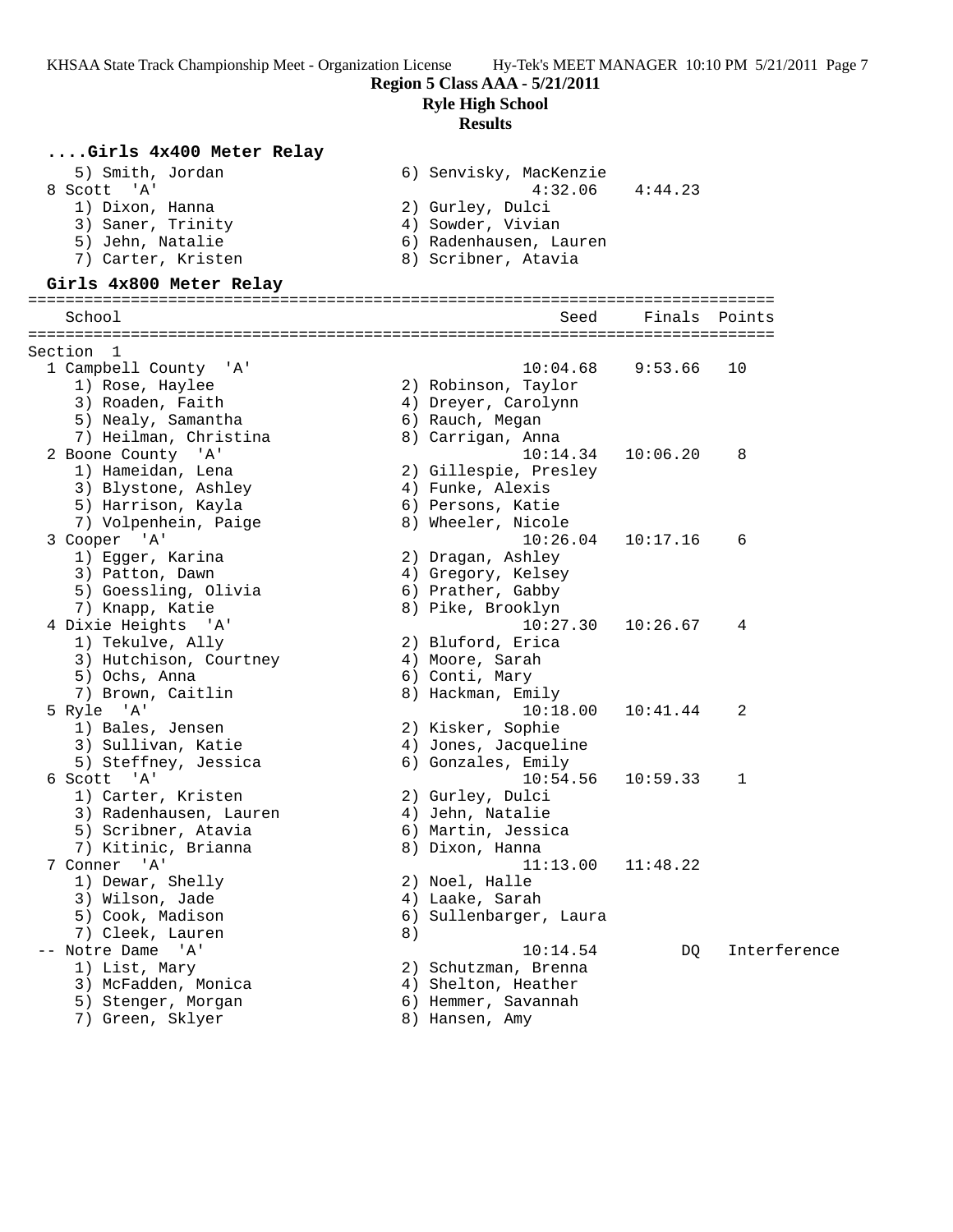**Region 5 Class AAA - 5/21/2011**

**Ryle High School**

#### **Results**

### **....Girls 4x400 Meter Relay**

| 5) Smith, Jordan   | 6) Senvisky, MacKenzie |
|--------------------|------------------------|
| 8 Scott 'A'        | 4:32.06<br>4:44.23     |
| 1) Dixon, Hanna    | 2) Gurley, Dulci       |
| 3) Saner, Trinity  | 4) Sowder, Vivian      |
| 5) Jehn, Natalie   | 6) Radenhausen, Lauren |
| 7) Carter, Kristen | 8) Scribner, Atavia    |

#### **Girls 4x800 Meter Relay**

#### ================================================================================ Seed Finals Points ================================================================================ Section 1<br>1 Campbell County 'A' 1 Campbell County 'A' 10:04.68 9:53.66 10 1) Rose, Haylee 2) Robinson, Taylor 3) Roaden, Faith 4) Dreyer, Carolynn 5) Nealy, Samantha 6) Rauch, Megan 7) Heilman, Christina 8) Carrigan, Anna 2 Boone County 'A' 10:14.34 10:06.20 8 1) Hameidan, Lena 2) Gillespie, Presley 3) Blystone, Ashley (4) Funke, Alexis 5) Harrison, Kayla 6) Persons, Katie 7) Volpenhein, Paige 8) Wheeler, Nicole 3 Cooper 'A' 10:26.04 10:17.16 6 1) Egger, Karina 2) Dragan, Ashley 3) Patton, Dawn 1988 (4) Gregory, Kelsey 5) Goessling, Olivia 6) Prather, Gabby 7) Knapp, Katie 8) Pike, Brooklyn 4 Dixie Heights 'A' 10:27.30 10:26.67 4 1) Tekulve, Ally 2) Bluford, Erica 3) Hutchison, Courtney 4) Moore, Sarah 5) Ochs, Anna 6) Conti, Mary 7) Brown, Caitlin 8) Hackman, Emily 5 Ryle 'A' 10:18.00 10:41.44 2 1) Bales, Jensen 2) Kisker, Sophie 3) Sullivan, Katie 4) Jones, Jacqueline 5) Steffney, Jessica 6) Gonzales, Emily 6 Scott 'A' 10:54.56 10:59.33 1 1) Carter, Kristen 2) Gurley, Dulci 3) Radenhausen, Lauren (and Annangehen, Natalie 5) Scribner, Atavia (6) Martin, Jessica 7) Kitinic, Brianna 8) Dixon, Hanna 7 Conner 'A' 11:13.00 11:48.22 1) Dewar, Shelly 2) Noel, Halle 3) Wilson, Jade 4) Laake, Sarah 5) Cook, Madison 6) Sullenbarger, Laura 7) Cleek, Lauren 8) -- Notre Dame 'A' 10:14.54 DQ Interference 1) List, Mary 2) Schutzman, Brenna 3) McFadden, Monica 4) Shelton, Heather 5) Stenger, Morgan 6) Hemmer, Savannah 7) Green, Sklyer 1988 (1988) Bansen, Amy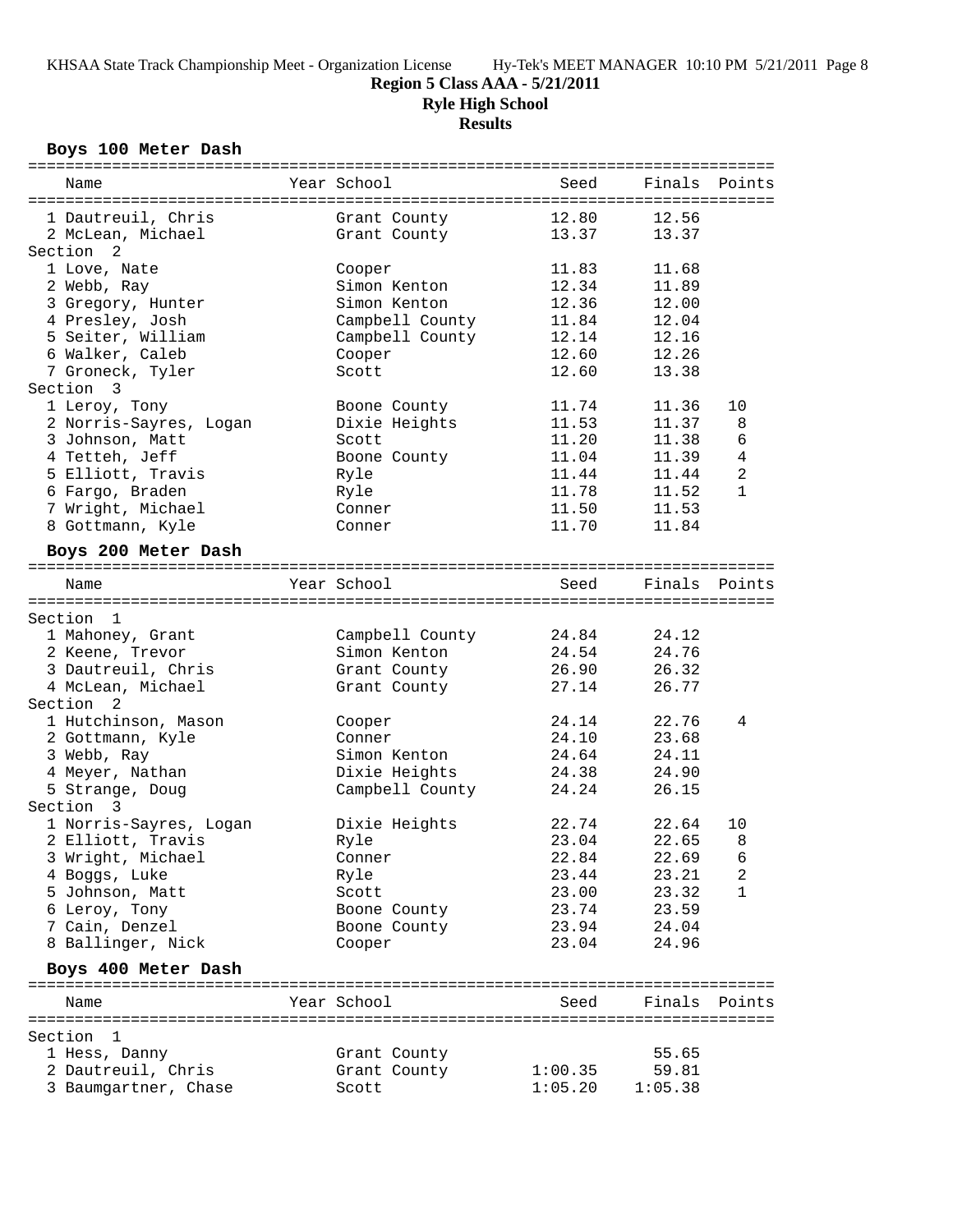## **Region 5 Class AAA - 5/21/2011**

**Ryle High School**

**Results**

#### **Boys 100 Meter Dash**

| Name                   | Year School     | Seed    | Finals Points |                 |
|------------------------|-----------------|---------|---------------|-----------------|
|                        |                 |         |               |                 |
| 1 Dautreuil, Chris     | Grant County    | 12.80   | 12.56         |                 |
| 2 McLean, Michael      | Grant County    | 13.37   | 13.37         |                 |
| Section <sub>2</sub>   |                 |         |               |                 |
| 1 Love, Nate           | Cooper          | 11.83   | 11.68         |                 |
| 2 Webb, Ray            | Simon Kenton    | 12.34   | 11.89         |                 |
| 3 Gregory, Hunter      | Simon Kenton    | 12.36   | 12.00         |                 |
| 4 Presley, Josh        | Campbell County | 11.84   | 12.04         |                 |
| 5 Seiter, William      | Campbell County | 12.14   | 12.16         |                 |
| 6 Walker, Caleb        | Cooper          | 12.60   | 12.26         |                 |
| 7 Groneck, Tyler       | Scott           | 12.60   | 13.38         |                 |
| Section 3              |                 |         |               |                 |
| 1 Leroy, Tony          | Boone County    | 11.74   | 11.36         | 10              |
| 2 Norris-Sayres, Logan | Dixie Heights   | 11.53   | 11.37         | 8               |
| 3 Johnson, Matt        | Scott           | 11.20   | 11.38         | 6               |
| 4 Tetteh, Jeff         | Boone County    | 11.04   | 11.39         | $\overline{4}$  |
| 5 Elliott, Travis      | Ryle            | 11.44   | 11.44         | 2               |
| 6 Fargo, Braden        | Ryle            | 11.78   | 11.52         | $\mathbf{1}$    |
| 7 Wright, Michael      | Conner          | 11.50   | 11.53         |                 |
|                        |                 | 11.70   | 11.84         |                 |
| 8 Gottmann, Kyle       | Conner          |         |               |                 |
| Boys 200 Meter Dash    |                 |         |               |                 |
|                        |                 |         |               |                 |
| Name                   | Year School     | Seed    | Finals Points |                 |
|                        |                 |         |               |                 |
| Section 1              |                 |         |               |                 |
| 1 Mahoney, Grant       | Campbell County | 24.84   | 24.12         |                 |
| 2 Keene, Trevor        | Simon Kenton    | 24.54   | 24.76         |                 |
| 3 Dautreuil, Chris     | Grant County    | 26.90   | 26.32         |                 |
| 4 McLean, Michael      | Grant County    | 27.14   | 26.77         |                 |
| Section 2              |                 |         |               |                 |
| 1 Hutchinson, Mason    | Cooper          | 24.14   | 22.76         | 4               |
| 2 Gottmann, Kyle       | Conner          | 24.10   | 23.68         |                 |
| 3 Webb, Ray            | Simon Kenton    | 24.64   | 24.11         |                 |
| 4 Meyer, Nathan        | Dixie Heights   | 24.38   | 24.90         |                 |
| 5 Strange, Doug        | Campbell County | 24.24   | 26.15         |                 |
| Section 3              |                 |         |               |                 |
| 1 Norris-Sayres, Logan | Dixie Heights   | 22.74   | 22.64         | 10              |
| 2 Elliott, Travis      | Ryle            | 23.04   | 22.65         | 8               |
| 3 Wright, Michael      | Conner          | 22.84   | 22.69         | $6\overline{6}$ |
| 4 Boggs, Luke          | Ryle            | 23.44   | 23.21         | 2               |
| 5 Johnson, Matt        | Scott           | 23.00   | 23.32         | $\mathbf{1}$    |
| 6 Leroy, Tony          | Boone County    | 23.74   | 23.59         |                 |
| 7 Cain, Denzel         | Boone County    | 23.94   | 24.04         |                 |
| 8 Ballinger, Nick      | Cooper          | 23.04   | 24.96         |                 |
|                        |                 |         |               |                 |
| Boys 400 Meter Dash    |                 |         |               |                 |
|                        | Year School     | Seed    | Finals        | Points          |
| Name                   |                 |         |               |                 |
| Section 1              |                 |         |               |                 |
| 1 Hess, Danny          |                 |         | 55.65         |                 |
| 2 Dautreuil, Chris     | Grant County    | 1:00.35 | 59.81         |                 |
|                        | Grant County    |         |               |                 |
| 3 Baumgartner, Chase   | Scott           | 1:05.20 | 1:05.38       |                 |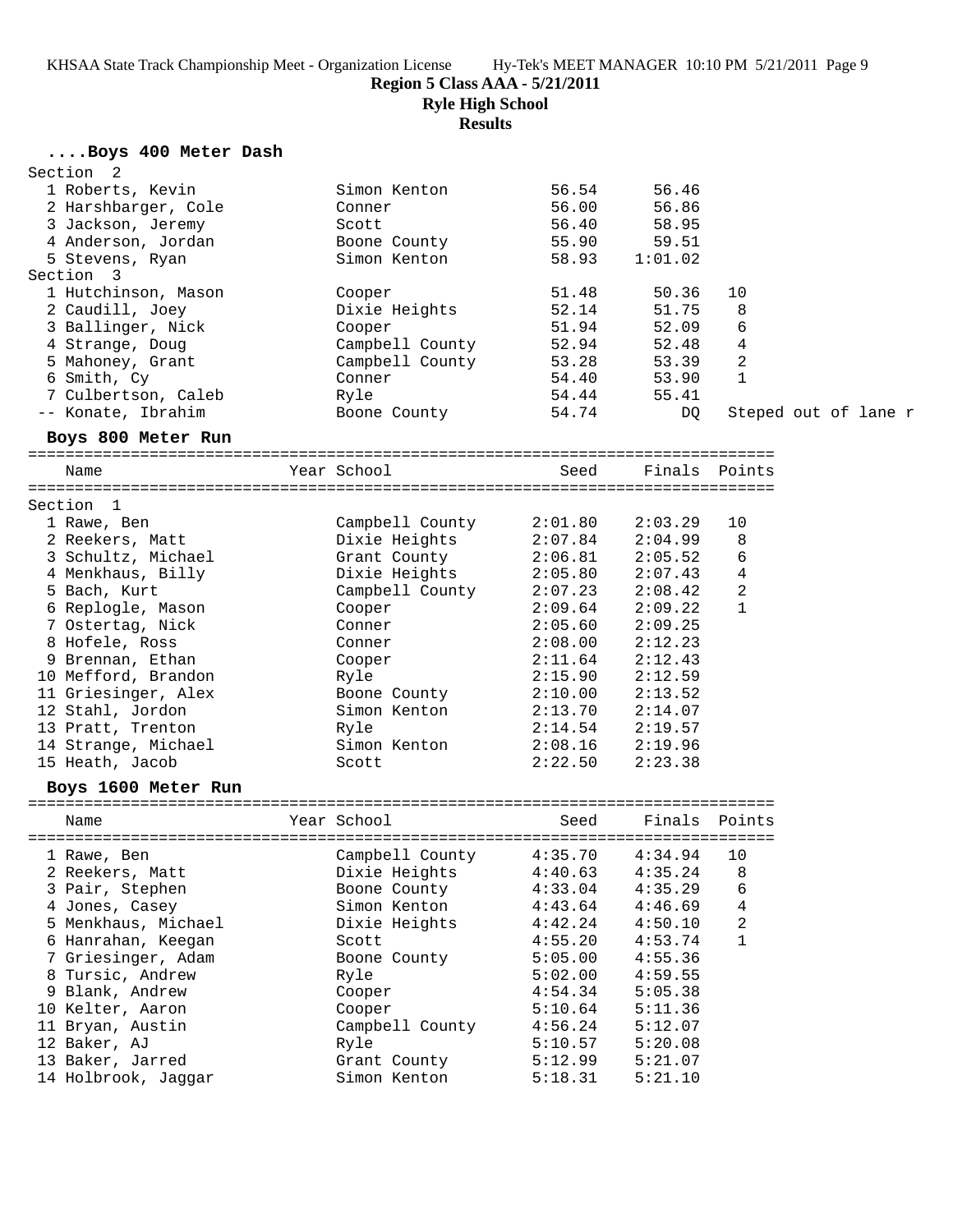**Region 5 Class AAA - 5/21/2011**

**Ryle High School**

**Results**

## **....Boys 400 Meter Dash**

| Section 2           |                                                                                                                               |                                                       |                 |               |                      |
|---------------------|-------------------------------------------------------------------------------------------------------------------------------|-------------------------------------------------------|-----------------|---------------|----------------------|
| 1 Roberts, Kevin    | Simon Kenton                                                                                                                  | 56.54                                                 | 56.46           |               |                      |
| 2 Harshbarger, Cole | Conner                                                                                                                        | 56.00                                                 | 56.86           |               |                      |
| 3 Jackson, Jeremy   | Scott                                                                                                                         | 56.40                                                 | 58.95           |               |                      |
| 4 Anderson, Jordan  | Boone County                                                                                                                  | 55.90                                                 | 59.51           |               |                      |
| 5 Stevens, Ryan     | Simon Kenton                                                                                                                  | 58.93                                                 | 1:01.02         |               |                      |
| Section 3           |                                                                                                                               |                                                       |                 |               |                      |
| 1 Hutchinson, Mason | Cooper                                                                                                                        | 51.48                                                 | 50.36           | 10            |                      |
| 2 Caudill, Joey     | Dixie Heights                                                                                                                 | 52.14                                                 | 51.75           | 8             |                      |
| 3 Ballinger, Nick   | Cooper                                                                                                                        | 51.94                                                 | 52.09           | 6             |                      |
| 4 Strange, Doug     | Campbell County                                                                                                               |                                                       | $52.94$ $52.48$ | 4             |                      |
| 5 Mahoney, Grant    | Campbell County                                                                                                               |                                                       | 53.28 53.39     | 2             |                      |
| 6 Smith, Cy         | Conner                                                                                                                        |                                                       | 54.40 53.90     | $\mathbf{1}$  |                      |
| 7 Culbertson, Caleb | Ryle                                                                                                                          |                                                       | 54.44 55.41     |               |                      |
| -- Konate, Ibrahim  | Boone County                                                                                                                  | 54.74                                                 | DQ              |               | Steped out of lane r |
|                     |                                                                                                                               |                                                       |                 |               |                      |
| Boys 800 Meter Run  |                                                                                                                               |                                                       |                 |               |                      |
| Name                | Year School                                                                                                                   | Seed                                                  |                 | Finals Points |                      |
|                     |                                                                                                                               |                                                       |                 |               |                      |
| Section 1           |                                                                                                                               |                                                       |                 |               |                      |
| 1 Rawe, Ben         |                                                                                                                               |                                                       |                 | 10            |                      |
| 2 Reekers, Matt     | Dixie Heights                                                                                                                 |                                                       | 2:04.99         | 8             |                      |
| 3 Schultz, Michael  | Grant County 2:06.81 2:05.52                                                                                                  |                                                       |                 | 6             |                      |
| 4 Menkhaus, Billy   | Dixie Heights 2:05.80 2:07.43                                                                                                 |                                                       |                 | 4             |                      |
| 5 Bach, Kurt        |                                                                                                                               |                                                       | 2:08.42         | 2             |                      |
| 6 Replogle, Mason   | Campbell County<br>Cooper<br>2:07.23 2:08.42<br>Cooper<br>2:09.64 2:09.22<br>Conner 2:05.60 2:09.25<br>Conner 2:08.00 2:12.23 |                                                       |                 | $\mathbf 1$   |                      |
| 7 Ostertag, Nick    |                                                                                                                               |                                                       |                 |               |                      |
| 8 Hofele, Ross      |                                                                                                                               |                                                       |                 |               |                      |
| 9 Brennan, Ethan    | Cooper                                                                                                                        | $2:11.64$ $2:12.43$                                   |                 |               |                      |
| 10 Mefford, Brandon | Ryle                                                                                                                          | 2:15.90                                               | 2:12.59         |               |                      |
| 11 Griesinger, Alex | Boone County                                                                                                                  | 2:10.00                                               | 2:13.52         |               |                      |
| 12 Stahl, Jordon    | Simon Kenton                                                                                                                  | 2:13.70 2:14.07<br>2:14.54 2:19.57<br>2:08.16 2:19.96 |                 |               |                      |
| 13 Pratt, Trenton   | Ryle                                                                                                                          |                                                       |                 |               |                      |
| 14 Strange, Michael | Simon Kenton                                                                                                                  |                                                       |                 |               |                      |
| 15 Heath, Jacob     | Scott                                                                                                                         | 2:22.50                                               | 2:23.38         |               |                      |
| Boys 1600 Meter Run |                                                                                                                               |                                                       |                 |               |                      |
|                     |                                                                                                                               |                                                       |                 |               |                      |
| Name                | Year School                                                                                                                   | Seed                                                  |                 | Finals Points |                      |
| 1 Rawe, Ben         | Campbell County $4:35.70$ $4:34.94$ 10                                                                                        |                                                       |                 |               |                      |
| 2 Reekers, Matt     | Dixie Heights                                                                                                                 | 4:40.63                                               | 4:35.24         | 8             |                      |
| 3 Pair, Stephen     | Boone County                                                                                                                  | 4:33.04                                               | 4:35.29         | 6             |                      |
| 4 Jones, Casey      | Simon Kenton                                                                                                                  | 4:43.64                                               | 4:46.69         | 4             |                      |
| 5 Menkhaus, Michael | Dixie Heights                                                                                                                 | 4:42.24                                               | 4:50.10         | 2             |                      |
| 6 Hanrahan, Keegan  | Scott                                                                                                                         | 4:55.20                                               | 4:53.74         | 1             |                      |
| 7 Griesinger, Adam  | Boone County                                                                                                                  | 5:05.00                                               | 4:55.36         |               |                      |
| 8 Tursic, Andrew    | Ryle                                                                                                                          | 5:02.00                                               | 4:59.55         |               |                      |
| 9 Blank, Andrew     | Cooper                                                                                                                        | 4:54.34                                               | 5:05.38         |               |                      |
| 10 Kelter, Aaron    | Cooper                                                                                                                        | 5:10.64                                               | 5:11.36         |               |                      |
| 11 Bryan, Austin    | Campbell County                                                                                                               | 4:56.24                                               | 5:12.07         |               |                      |
| 12 Baker, AJ        | Ryle                                                                                                                          | 5:10.57                                               | 5:20.08         |               |                      |
| 13 Baker, Jarred    | Grant County                                                                                                                  | 5:12.99                                               | 5:21.07         |               |                      |
| 14 Holbrook, Jaggar | Simon Kenton                                                                                                                  | 5:18.31                                               | 5:21.10         |               |                      |
|                     |                                                                                                                               |                                                       |                 |               |                      |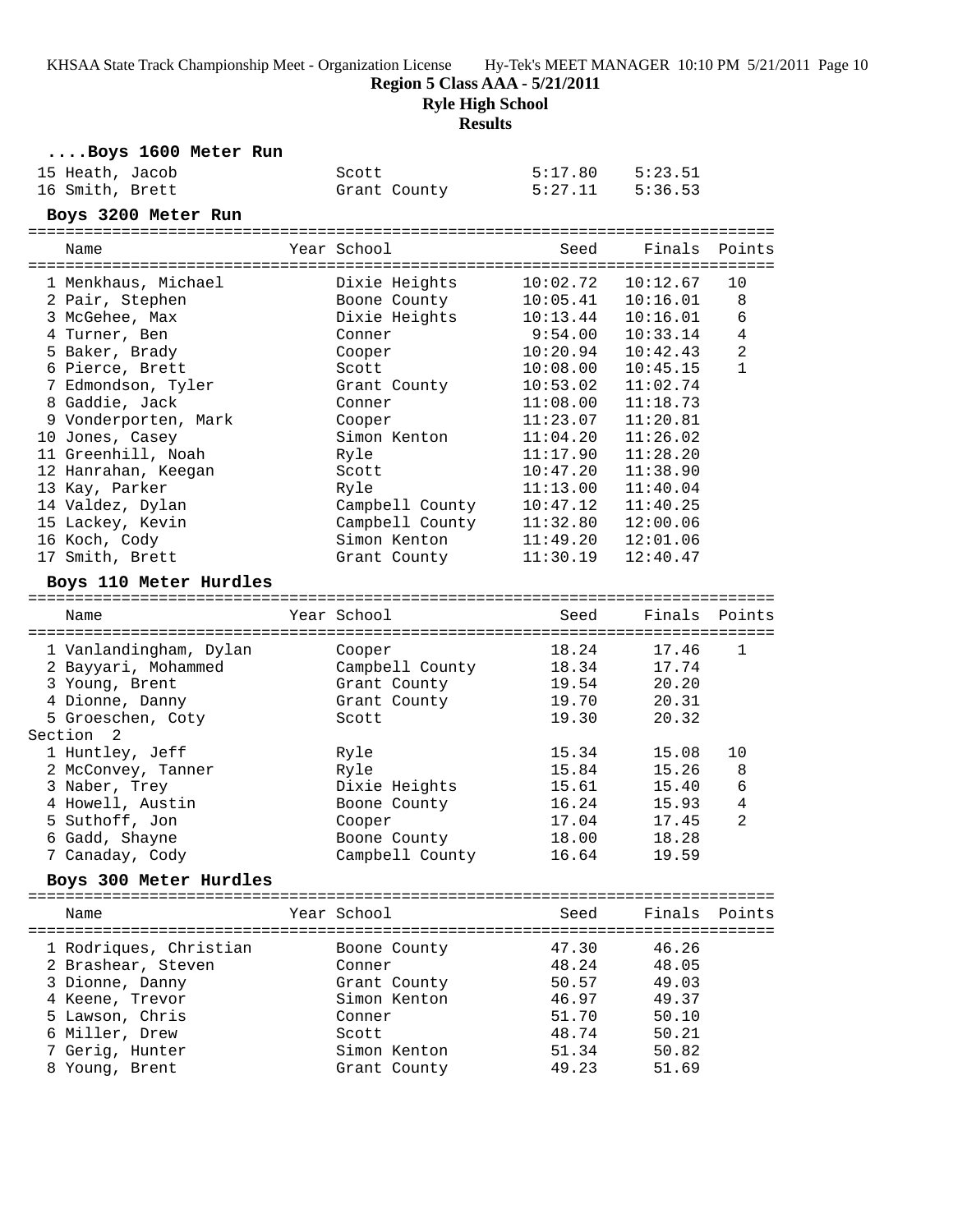**Region 5 Class AAA - 5/21/2011**

**Ryle High School**

## **Results**

| Boys 1600 Meter Run    |                 |          |          |                |
|------------------------|-----------------|----------|----------|----------------|
| 15 Heath, Jacob        | Scott           | 5:17.80  | 5:23.51  |                |
| 16 Smith, Brett        | Grant County    | 5:27.11  | 5:36.53  |                |
| Boys 3200 Meter Run    |                 |          |          |                |
|                        |                 |          |          |                |
| Name                   | Year School     | Seed     | Finals   | Points         |
|                        |                 |          |          |                |
| 1 Menkhaus, Michael    | Dixie Heights   | 10:02.72 | 10:12.67 | 10             |
| 2 Pair, Stephen        | Boone County    | 10:05.41 | 10:16.01 | 8              |
| 3 McGehee, Max         | Dixie Heights   | 10:13.44 | 10:16.01 | 6              |
| 4 Turner, Ben          | Conner          | 9:54.00  | 10:33.14 | $\overline{4}$ |
| 5 Baker, Brady         | Cooper          | 10:20.94 | 10:42.43 | $\overline{a}$ |
| 6 Pierce, Brett        | Scott           | 10:08.00 | 10:45.15 | $\mathbf{1}$   |
| 7 Edmondson, Tyler     | Grant County    | 10:53.02 | 11:02.74 |                |
| 8 Gaddie, Jack         | Conner          | 11:08.00 | 11:18.73 |                |
| 9 Vonderporten, Mark   | Cooper          | 11:23.07 | 11:20.81 |                |
| 10 Jones, Casey        | Simon Kenton    | 11:04.20 | 11:26.02 |                |
| 11 Greenhill, Noah     | Ryle            | 11:17.90 | 11:28.20 |                |
| 12 Hanrahan, Keegan    | Scott           | 10:47.20 | 11:38.90 |                |
| 13 Kay, Parker         | Ryle            | 11:13.00 | 11:40.04 |                |
| 14 Valdez, Dylan       | Campbell County | 10:47.12 | 11:40.25 |                |
| 15 Lackey, Kevin       | Campbell County | 11:32.80 | 12:00.06 |                |
| 16 Koch, Cody          | Simon Kenton    | 11:49.20 | 12:01.06 |                |
| 17 Smith, Brett        | Grant County    | 11:30.19 | 12:40.47 |                |
|                        |                 |          |          |                |
| Boys 110 Meter Hurdles |                 |          |          |                |
| Name                   | Year School     | Seed     | Finals   | Points         |
|                        |                 |          |          |                |
| 1 Vanlandingham, Dylan | Cooper          | 18.24    | 17.46    | 1              |
| 2 Bayyari, Mohammed    | Campbell County | 18.34    | 17.74    |                |
| 3 Young, Brent         | Grant County    | 19.54    | 20.20    |                |
| 4 Dionne, Danny        | Grant County    | 19.70    | 20.31    |                |
| 5 Groeschen, Coty      | Scott           | 19.30    | 20.32    |                |
| Section<br>2           |                 |          |          |                |
| 1 Huntley, Jeff        | Ryle            | 15.34    | 15.08    | 10             |
| 2 McConvey, Tanner     | Ryle            | 15.84    | 15.26    | 8              |
| 3 Naber, Trey          | Dixie Heights   | 15.61    | 15.40    | 6              |
| 4 Howell, Austin       | Boone County    | 16.24    | 15.93    | $\overline{4}$ |
| 5 Suthoff, Jon         | Cooper          | 17.04    | 17.45    | 2              |
| 6 Gadd, Shayne         | Boone County    | 18.00    | 18.28    |                |
| 7 Canaday, Cody        | Campbell County | 16.64    | 19.59    |                |
|                        |                 |          |          |                |
| Boys 300 Meter Hurdles |                 |          |          |                |
| Name                   | Year School     | Seed     | Finals   | Points         |
|                        |                 |          |          |                |
| 1 Rodriques, Christian | Boone County    | 47.30    | 46.26    |                |
| 2 Brashear, Steven     | Conner          | 48.24    | 48.05    |                |
| 3 Dionne, Danny        | Grant County    | 50.57    | 49.03    |                |
| 4 Keene, Trevor        | Simon Kenton    | 46.97    | 49.37    |                |
| 5 Lawson, Chris        | Conner          | 51.70    | 50.10    |                |
| 6 Miller, Drew         | Scott           | 48.74    | 50.21    |                |
| 7 Gerig, Hunter        | Simon Kenton    | 51.34    | 50.82    |                |
| 8 Young, Brent         | Grant County    | 49.23    | 51.69    |                |
|                        |                 |          |          |                |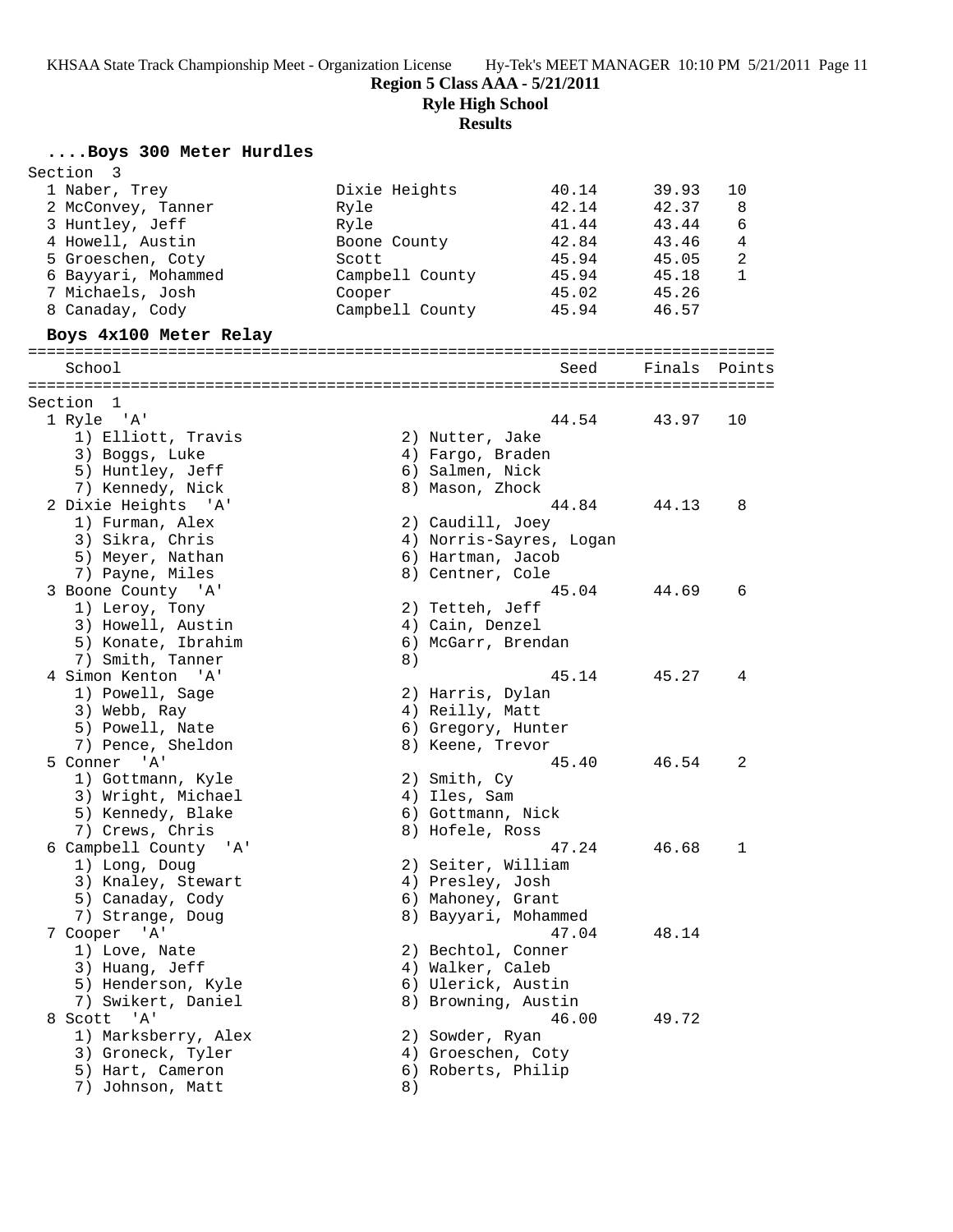**Region 5 Class AAA - 5/21/2011**

**Ryle High School**

**Results**

# **....Boys 300 Meter Hurdles**

| Section<br>- 3         |                           |                         |                |              |
|------------------------|---------------------------|-------------------------|----------------|--------------|
| 1 Naber, Trey          | Dixie Heights             | 40.14                   | 39.93          | 10           |
| 2 McConvey, Tanner     | Ryle                      | 42.14                   | 42.37          | 8            |
| 3 Huntley, Jeff        | Ryle                      | 41.44                   | 43.44          | 6            |
| 4 Howell, Austin       | Boone County              | 42.84                   | 43.46          | 4            |
| 5 Groeschen, Coty      | Scott                     | 45.94                   | 45.05          | 2            |
| 6 Bayyari, Mohammed    | Campbell County           | 45.94                   | 45.18          | $\mathbf{1}$ |
|                        |                           | 45.02                   |                |              |
| 7 Michaels, Josh       | Cooper<br>Campbell County | 45.94                   | 45.26<br>46.57 |              |
| 8 Canaday, Cody        |                           |                         |                |              |
| Boys 4x100 Meter Relay |                           |                         |                |              |
| School                 |                           | Seed                    | Finals         | Points       |
| Section 1              |                           |                         |                |              |
| 1 Ryle 'A'             |                           | 44.54                   | 43.97          | 10           |
| 1) Elliott, Travis     | 2) Nutter, Jake           |                         |                |              |
| 3) Boggs, Luke         | 4) Fargo, Braden          |                         |                |              |
| 5) Huntley, Jeff       | 6) Salmen, Nick           |                         |                |              |
| 7) Kennedy, Nick       | 8) Mason, Zhock           |                         |                |              |
| 2 Dixie Heights 'A'    |                           | 44.84                   | 44.13          | 8            |
| 1) Furman, Alex        | 2) Caudill, Joey          |                         |                |              |
| 3) Sikra, Chris        |                           | 4) Norris-Sayres, Logan |                |              |
| 5) Meyer, Nathan       | 6) Hartman, Jacob         |                         |                |              |
| 7) Payne, Miles        | 8) Centner, Cole          |                         |                |              |
|                        |                           | 45.04                   | 44.69          | 6            |
| 3 Boone County 'A'     |                           |                         |                |              |
| 1) Leroy, Tony         | 2) Tetteh, Jeff           |                         |                |              |
| 3) Howell, Austin      | 4) Cain, Denzel           |                         |                |              |
| 5) Konate, Ibrahim     | 6) McGarr, Brendan        |                         |                |              |
| 7) Smith, Tanner       | 8)                        |                         |                |              |
| 4 Simon Kenton 'A'     |                           | 45.14                   | 45.27          | 4            |
| 1) Powell, Sage        | 2) Harris, Dylan          |                         |                |              |
| 3) Webb, Ray           | 4) Reilly, Matt           |                         |                |              |
| 5) Powell, Nate        | 6) Gregory, Hunter        |                         |                |              |
| 7) Pence, Sheldon      | 8) Keene, Trevor          |                         |                |              |
| 5 Conner 'A'           |                           | 45.40                   | 46.54          | 2            |
| 1) Gottmann, Kyle      | 2) Smith, Cy              |                         |                |              |
| 3) Wright, Michael     | 4) Iles, Sam              |                         |                |              |
| 5) Kennedy, Blake      | 6) Gottmann, Nick         |                         |                |              |
| 7) Crews, Chris        | 8) Hofele, Ross           |                         |                |              |
| 6 Campbell County 'A'  |                           | 47.24                   | 46.68          | 1            |
| 1) Long, Doug          | 2) Seiter, William        |                         |                |              |
| 3) Knaley, Stewart     | 4) Presley, Josh          |                         |                |              |
| 5) Canaday, Cody       | 6) Mahoney, Grant         |                         |                |              |
| 7) Strange, Doug       | 8) Bayyari, Mohammed      |                         |                |              |
| 7 Cooper 'A'           |                           | 47.04                   | 48.14          |              |
| 1) Love, Nate          | 2) Bechtol, Conner        |                         |                |              |
| 3) Huang, Jeff         | 4) Walker, Caleb          |                         |                |              |
|                        |                           |                         |                |              |
| 5) Henderson, Kyle     | 6) Ulerick, Austin        |                         |                |              |
| 7) Swikert, Daniel     | 8) Browning, Austin       |                         |                |              |
| 8 Scott 'A'            |                           | 46.00                   | 49.72          |              |
| 1) Marksberry, Alex    | 2) Sowder, Ryan           |                         |                |              |
| 3) Groneck, Tyler      | 4) Groeschen, Coty        |                         |                |              |
| 5) Hart, Cameron       | 6) Roberts, Philip        |                         |                |              |
| 7) Johnson, Matt       | 8)                        |                         |                |              |
|                        |                           |                         |                |              |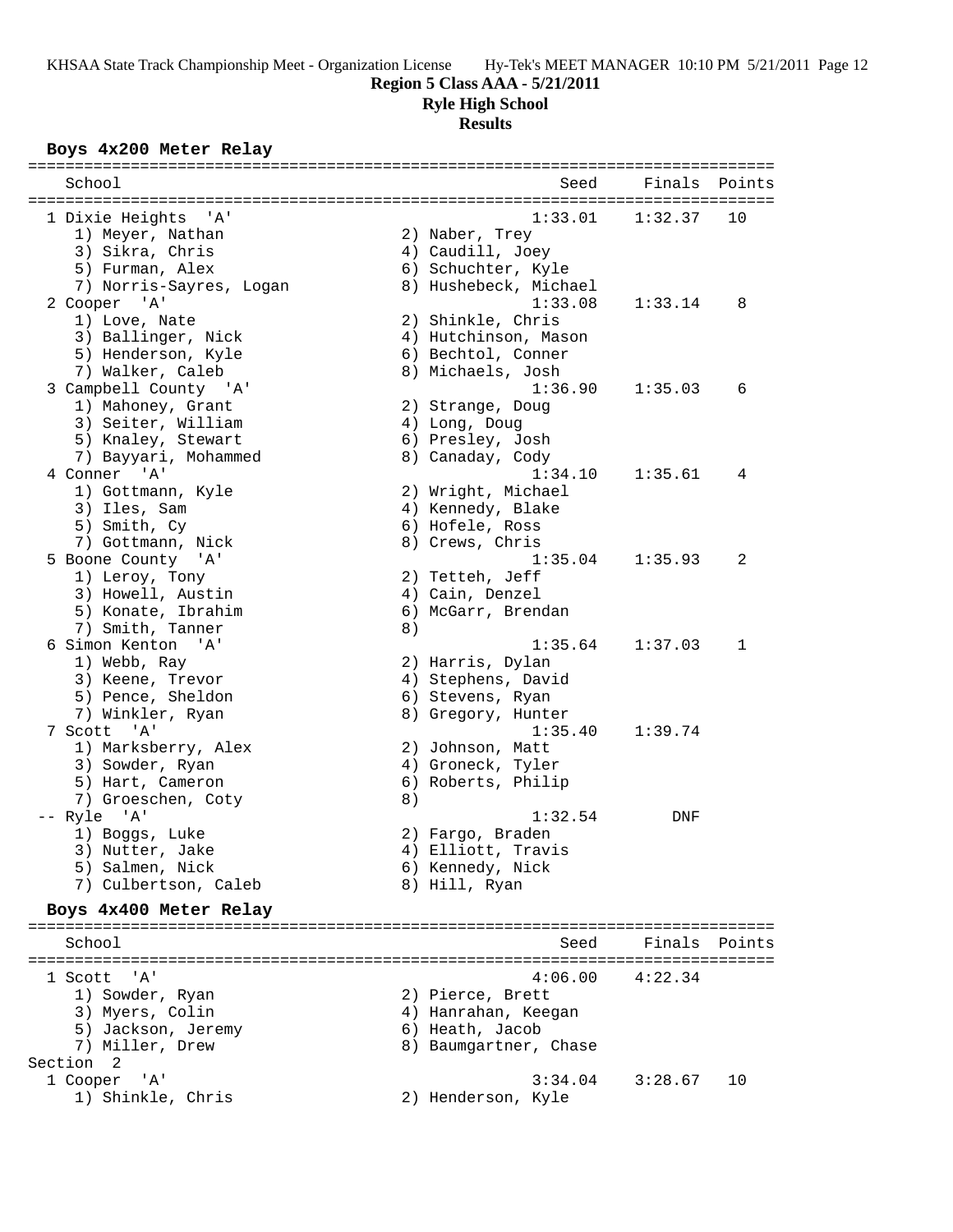# **Region 5 Class AAA - 5/21/2011**

**Ryle High School**

#### **Results**

## **Boys 4x200 Meter Relay**

| School                                  |    | Seed                  | Finals        | Points      |
|-----------------------------------------|----|-----------------------|---------------|-------------|
|                                         |    | 1:33.01               | 1:32.37       |             |
| 1 Dixie Heights 'A'<br>1) Meyer, Nathan |    | 2) Naber, Trey        |               | 10          |
| 3) Sikra, Chris                         |    | 4) Caudill, Joey      |               |             |
| 5) Furman, Alex                         |    | 6) Schuchter, Kyle    |               |             |
| 7) Norris-Sayres, Logan                 |    | 8) Hushebeck, Michael |               |             |
| 2 Cooper 'A'                            |    | 1:33.08               | 1:33.14       | 8           |
| 1) Love, Nate                           |    | 2) Shinkle, Chris     |               |             |
| 3) Ballinger, Nick                      |    | 4) Hutchinson, Mason  |               |             |
| 5) Henderson, Kyle                      |    | 6) Bechtol, Conner    |               |             |
| 7) Walker, Caleb                        |    | 8) Michaels, Josh     |               |             |
| 3 Campbell County 'A'                   |    | 1:36.90               | 1:35.03       | 6           |
| 1) Mahoney, Grant                       |    | 2) Strange, Doug      |               |             |
| 3) Seiter, William                      |    | 4) Long, Doug         |               |             |
| 5) Knaley, Stewart                      |    | 6) Presley, Josh      |               |             |
| 7) Bayyari, Mohammed                    |    | 8) Canaday, Cody      |               |             |
| 4 Conner 'A'                            |    | 1:34.10               | 1:35.61       | 4           |
| 1) Gottmann, Kyle                       |    | 2) Wright, Michael    |               |             |
| 3) Iles, Sam                            |    | 4) Kennedy, Blake     |               |             |
| 5) Smith, Cy                            |    | 6) Hofele, Ross       |               |             |
| 7) Gottmann, Nick                       |    | 8) Crews, Chris       |               |             |
| 5 Boone County 'A'                      |    | 1:35.04               | 1:35.93       | 2           |
| 1) Leroy, Tony                          |    | 2) Tetteh, Jeff       |               |             |
| 3) Howell, Austin                       |    | 4) Cain, Denzel       |               |             |
| 5) Konate, Ibrahim                      |    | 6) McGarr, Brendan    |               |             |
| 7) Smith, Tanner                        | 8) |                       |               |             |
| 6 Simon Kenton 'A'                      |    | 1:35.64               | 1:37.03       | $\mathbf 1$ |
| 1) Webb, Ray                            |    | 2) Harris, Dylan      |               |             |
| 3) Keene, Trevor                        |    | 4) Stephens, David    |               |             |
| 5) Pence, Sheldon                       |    | 6) Stevens, Ryan      |               |             |
| 7) Winkler, Ryan                        |    | 8) Gregory, Hunter    |               |             |
| 7 Scott 'A'                             |    | 1:35.40               | 1:39.74       |             |
| 1) Marksberry, Alex                     |    | 2) Johnson, Matt      |               |             |
| 3) Sowder, Ryan                         |    | 4) Groneck, Tyler     |               |             |
| 5) Hart, Cameron                        |    | 6) Roberts, Philip    |               |             |
| 7) Groeschen, Coty                      | 8) |                       |               |             |
| -- Ryle 'A'                             |    | 1:32.54               | DNF           |             |
| 1) Boggs, Luke                          |    | 2) Fargo, Braden      |               |             |
| 3) Nutter, Jake                         |    | 4) Elliott, Travis    |               |             |
| 5) Salmen, Nick                         |    | 6) Kennedy, Nick      |               |             |
| 7) Culbertson, Caleb                    |    | 8) Hill, Ryan         |               |             |
| Boys 4x400 Meter Relay                  |    |                       |               |             |
|                                         |    |                       |               |             |
| School                                  |    | Seed                  | Finals Points |             |
| 'A'<br>1 Scott                          |    | 4:06.00               | 4:22.34       |             |
| 1) Sowder, Ryan                         |    | 2) Pierce, Brett      |               |             |
| 3) Myers, Colin                         |    | 4) Hanrahan, Keegan   |               |             |
| 5) Jackson, Jeremy                      |    | 6) Heath, Jacob       |               |             |
| 7) Miller, Drew                         |    | 8) Baumgartner, Chase |               |             |
| Section 2                               |    |                       |               |             |
| 1 Cooper<br>' 'A '                      |    | 3:34.04               | 3:28.67       | 10          |
| 1) Shinkle, Chris                       |    | 2) Henderson, Kyle    |               |             |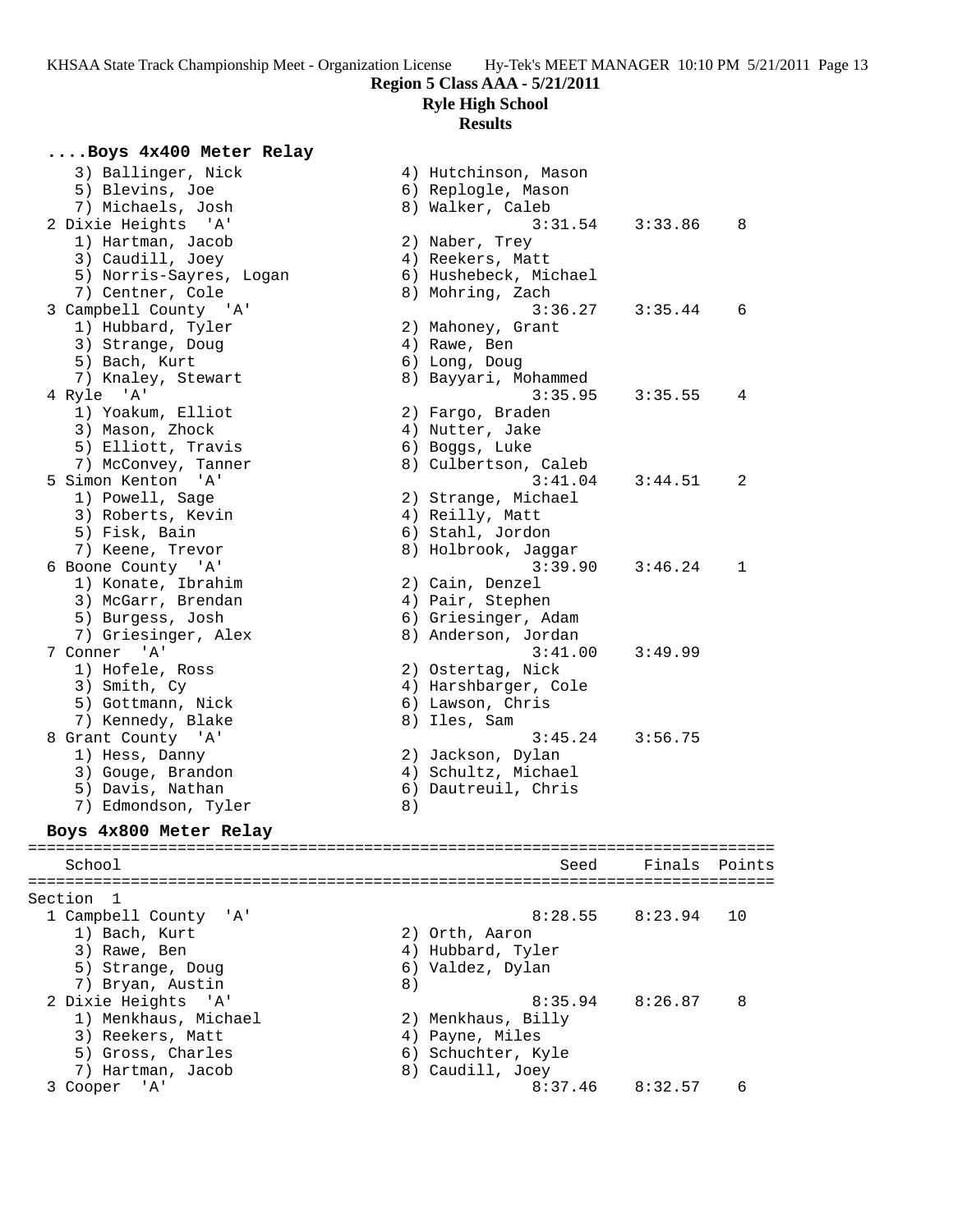### **Region 5 Class AAA - 5/21/2011**

**Ryle High School**

#### **Results**

### **....Boys 4x400 Meter Relay**

3) Ballinger, Nick (4) Hutchinson, Mason 5) Blevins, Joe 7) Michaels, Josh 2 Dixie Heights 'A' 1) Hartman, Jacob 3) Caudill, Joey 5) Norris-Sayres, Logan 7) Centner, Cole 3 Campbell County 'A' 1) Hubbard, Tyler 3) Strange, Doug 5) Bach, Kurt 7) Knaley, Stewart 4 Ryle 'A' 1) Yoakum, Elliot 3) Mason, Zhock 5) Elliott, Travis 7) McConvey, Tanner 5 Simon Kenton 'A' 1) Powell, Sage 3) Roberts, Kevin 5) Fisk, Bain 7) Keene, Trevor 6 Boone County 'A' 1) Konate, Ibrahim 3) McGarr, Brendan 5) Burgess, Josh 7) Griesinger, Alex 7 Conner 'A' 1) Hofele, Ross 3) Smith, Cy 5) Gottmann, Nick 7) Kennedy, Blake 8 Grant County 'A' 1) Hess, Danny 3) Gouge, Brandon 5) Davis, Nathan 7) Edmondson, Tyler **Boys 4x800 Meter Relay** ================================================================================ School Seed Finals Points ================================================================================ Section 1 1 Campbell County 'A' 1) Bach, Kurt 3) Rawe, Ben<br>5) Strange, Doug 6) Valdez, Dylan<br>8) 7) Bryan, Austin 2 Dixie Heights 'A' 8:35.94 8:26.87 8 1) Menkhaus, Michael 2) Menkhaus, Billy 3) Reekers, Matt (4) Payne, Miles 5) Gross, Charles 6) Schuchter, Kyle

7) Hartman, Jacob 8) Caudill, Joey

|    | 1, hacchinisch, rasch<br>6) Replogle, Mason |                     |    |
|----|---------------------------------------------|---------------------|----|
|    | 8) Walker, Caleb                            | $3:31.54$ $3:33.86$ | 8  |
|    | 2) Naber, Trey                              |                     |    |
|    | 4) Reekers, Matt                            |                     |    |
|    | 6) Hushebeck, Michael                       |                     |    |
|    | 8) Mohring, Zach                            |                     |    |
|    | 3:36.27                                     | 3:35.44             | 6  |
|    | 2) Mahoney, Grant                           |                     |    |
|    | 4) Rawe, Ben                                |                     |    |
|    | 6) Long, Doug                               |                     |    |
|    | 8) Bayyari, Mohammed                        |                     |    |
|    | 3:35.95                                     | 3:35.55             | 4  |
|    | 2) Fargo, Braden                            |                     |    |
|    | 4) Nutter, Jake                             |                     |    |
|    | 6) Boggs, Luke                              |                     |    |
|    | 8) Culbertson, Caleb                        |                     |    |
|    | 3:41.04                                     | 3:44.51             | 2  |
|    | 2) Strange, Michael                         |                     |    |
|    | 4) Reilly, Matt                             |                     |    |
|    | 6) Stahl, Jordon                            |                     |    |
|    | 8) Holbrook, Jaggar                         |                     |    |
|    | 3:39.90                                     | 3:46.24             | 1  |
|    | 2) Cain, Denzel                             |                     |    |
|    | 4) Pair, Stephen                            |                     |    |
|    | 6) Griesinger, Adam                         |                     |    |
|    | 8) Anderson, Jordan                         |                     |    |
|    | 3:41.00                                     | 3:49.99             |    |
|    | 2) Ostertag, Nick                           |                     |    |
|    | 4) Harshbarger, Cole                        |                     |    |
|    | 6) Lawson, Chris                            |                     |    |
|    | 8) Iles, Sam                                |                     |    |
|    | 3:45.24                                     | 3:56.75             |    |
|    | 2) Jackson, Dylan                           |                     |    |
|    | 4) Schultz, Michael                         |                     |    |
|    | 6) Dautreuil, Chris                         |                     |    |
| 8) |                                             |                     |    |
|    |                                             |                     |    |
|    |                                             | Seed Finals Poir    |    |
|    |                                             |                     |    |
|    |                                             |                     |    |
|    |                                             | $8:28.55$ $8:23.94$ | 10 |
|    | 2) Orth, Aaron                              |                     |    |
|    | 4) Hubbard, Tyler                           |                     |    |

# 3 Cooper 'A' 8:37.46 8:32.57 6